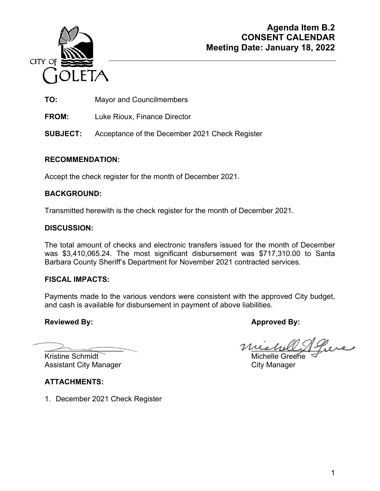

**TO:** Mayor and Councilmembers

**FROM:** Luke Rioux, Finance Director

**SUBJECT:** Acceptance of the December 2021 Check Register

# **RECOMMENDATION:**

Accept the check register for the month of December 2021.

# **BACKGROUND:**

Transmitted herewith is the check register for the month of December 2021.

# **DISCUSSION:**

The total amount of checks and electronic transfers issued for the month of December was \$3,410,065.24. The most significant disbursement was \$717,310.00 to Santa Barbara County Sheriff's Department for November 2021 contracted services.

# **FISCAL IMPACTS:**

Payments made to the various vendors were consistent with the approved City budget, and cash is available for disbursement in payment of above liabilities.

# Reviewed By: **Approved By: Approved By: Approved By:**

Kristine Schmidt Michelle Greene Assistant City Manager **City Manager** City Manager

michell Piere

**ATTACHMENTS:** 

1. December 2021 Check Register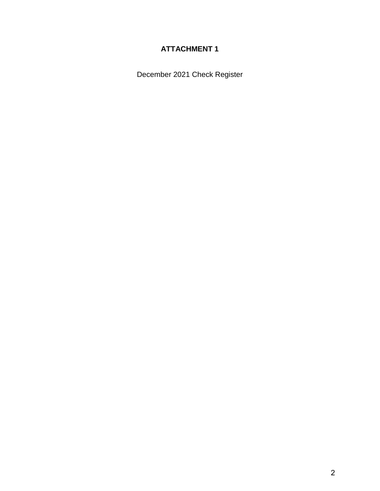# **ATTACHMENT 1**

December 2021 Check Register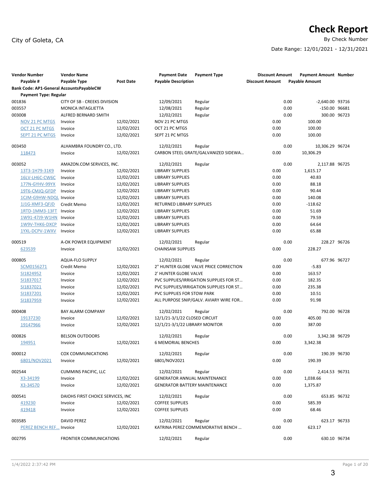# City of Goleta, CA

# **Check Report**<br>By Check Number

Date Range: 12/01/2021 - 12/31/2021

| <b>Vendor Number</b>                     | <b>Vendor Name</b>                |                  | <b>Payment Date</b>                  | <b>Payment Type</b>                     | <b>Discount Amount</b> | Payment Amount Number |  |
|------------------------------------------|-----------------------------------|------------------|--------------------------------------|-----------------------------------------|------------------------|-----------------------|--|
| Payable #                                | Payable Type                      | <b>Post Date</b> | <b>Payable Description</b>           |                                         | <b>Discount Amount</b> | <b>Payable Amount</b> |  |
| Bank Code: AP1-General AccountsPayableCW |                                   |                  |                                      |                                         |                        |                       |  |
| <b>Payment Type: Regular</b>             |                                   |                  |                                      |                                         |                        |                       |  |
| 001836                                   | CITY OF SB - CREEKS DIVISION      |                  | 12/09/2021                           | Regular                                 | 0.00                   | -2,640.00 93716       |  |
| 003557                                   | MONICA INTAGLIETTA                |                  | 12/08/2021                           | Regular                                 | 0.00                   | -150.00 96681         |  |
| 003008                                   | ALFRED BERNARD SMITH              |                  | 12/02/2021                           | Regular                                 | 0.00                   | 300.00 96723          |  |
| NOV 21 PC MTGS                           | Invoice                           | 12/02/2021       | NOV 21 PC MTGS                       |                                         | 0.00                   | 100.00                |  |
| OCT 21 PC MTGS                           | Invoice                           | 12/02/2021       | OCT 21 PC MTGS                       |                                         | 0.00                   | 100.00                |  |
| <b>SEPT 21 PC MTGS</b>                   | Invoice                           | 12/02/2021       | SEPT 21 PC MTGS                      |                                         | 0.00                   | 100.00                |  |
| 003450                                   | ALHAMBRA FOUNDRY CO., LTD.        |                  | 12/02/2021                           | Regular                                 | 0.00                   | 10,306.29 96724       |  |
| 118473                                   | Invoice                           | 12/02/2021       |                                      | CARBON STEEL GRATE/GALVANIZED SIDEWA    | 0.00                   | 10,306.29             |  |
| 003052                                   | AMAZON.COM SERVICES, INC.         |                  | 12/02/2021                           | Regular                                 | 0.00                   | 2,117.88 96725        |  |
| 13T3-1H79-31K9                           | Invoice                           | 12/02/2021       | <b>LIBRARY SUPPLIES</b>              |                                         | 0.00                   | 1,615.17              |  |
| 16LV-LH6C-CW6C                           | Invoice                           | 12/02/2021       | <b>LIBRARY SUPPLIES</b>              |                                         | 0.00                   | 40.83                 |  |
| 177N-GYHV-99YX                           | Invoice                           | 12/02/2021       | <b>LIBRARY SUPPLIES</b>              |                                         | 0.00                   | 88.18                 |  |
| 19T6-CMJQ-GFDP                           | Invoice                           | 12/02/2021       | <b>LIBRARY SUPPLIES</b>              |                                         | 0.00                   | 90.44                 |  |
| 1CJM-G9HW-NDQL Invoice                   |                                   | 12/02/2021       | <b>LIBRARY SUPPLIES</b>              |                                         | 0.00                   | 140.08                |  |
| 1J1G-XMF3-QFJD                           | Credit Memo                       | 12/02/2021       | <b>RETURNED LIBRARY SUPPLIES</b>     |                                         | 0.00                   | $-118.62$             |  |
| 1RTD-1MM3-13FT                           | Invoice                           | 12/02/2021       | <b>LIBRARY SUPPLIES</b>              |                                         | 0.00                   | 51.69                 |  |
| 1W91-47J9-W1HN                           | Invoice                           | 12/02/2021       | <b>LIBRARY SUPPLIES</b>              |                                         | 0.00                   | 79.59                 |  |
| 1W9V-THK6-DXCP                           | Invoice                           | 12/02/2021       | <b>LIBRARY SUPPLIES</b>              |                                         | 0.00                   | 64.64                 |  |
| 1YXL-DCPV-1WXV                           | Invoice                           | 12/02/2021       | <b>LIBRARY SUPPLIES</b>              |                                         | 0.00                   | 65.88                 |  |
| 000519                                   | A-OK POWER EQUIPMENT              |                  | 12/02/2021                           | Regular                                 | 0.00                   | 228.27 96726          |  |
| 623539                                   | Invoice                           | 12/02/2021       | <b>CHAINSAW SUPPLIES</b>             |                                         | 0.00                   | 228.27                |  |
| 000805                                   | <b>AQUA-FLO SUPPLY</b>            |                  | 12/02/2021                           | Regular                                 | 0.00                   | 677.96 96727          |  |
| SCM0156271                               | Credit Memo                       | 12/02/2021       |                                      | 2" HUNTER GLOBE VALVE PRICE CORRECTION  | 0.00                   | $-5.83$               |  |
| SI1824952                                | Invoice                           | 12/02/2021       | 2' HUNTER GLOBE VALVE                |                                         | 0.00                   | 163.57                |  |
| SI1837017                                | Invoice                           | 12/02/2021       |                                      | PVC SUPPLIES/IRRIGATION SUPPLIES FOR ST | 0.00                   | 182.35                |  |
| SI1837021                                | Invoice                           | 12/02/2021       |                                      | PVC SUPPLIES/IRRIGATION SUPPLIES FOR ST | 0.00                   | 235.38                |  |
| SI1837201                                | Invoice                           | 12/02/2021       | PVC SUPPLIES FOR STOW PARK           |                                         | 0.00                   | 10.51                 |  |
| SI1837959                                | Invoice                           | 12/02/2021       |                                      | ALL PURPOSE SNIP/GALV. AVIARY WIRE FOR  | 0.00                   | 91.98                 |  |
| 000408                                   | <b>BAY ALARM COMPANY</b>          |                  | 12/02/2021                           | Regular                                 | 0.00                   | 792.00 96728          |  |
| 19137230                                 | Invoice                           | 12/02/2021       | 12/1/21-3/1/22 CLOSED CIRCUIT        |                                         | 0.00                   | 405.00                |  |
| 19147966                                 | Invoice                           | 12/02/2021       | 12/1/21-3/1/22 LIBRARY MONITOR       |                                         | 0.00                   | 387.00                |  |
| 000826                                   | <b>BELSON OUTDOORS</b>            |                  | 12/02/2021                           | Regular                                 | 0.00                   | 3,342.38 96729        |  |
| 194951                                   | Invoice                           | 12/02/2021       | <b>6 MEMORIAL BENCHES</b>            |                                         | 0.00                   | 3,342.38              |  |
| 000012                                   | COX COMMUNICATIONS                |                  | 12/02/2021                           | Regular                                 | 0.00                   | 190.39 96730          |  |
| 6801/NOV2021                             | Invoice                           | 12/02/2021       | 6801/NOV2021                         |                                         | 0.00                   | 190.39                |  |
| 002544                                   | <b>CUMMINS PACIFIC, LLC</b>       |                  | 12/02/2021                           | Regular                                 | 0.00                   | 2,414.53 96731        |  |
| X3-34199                                 | Invoice                           | 12/02/2021       | <b>GENERATOR ANNUAL MAINTENANCE</b>  |                                         | 0.00                   | 1,038.66              |  |
| X3-34570                                 | Invoice                           | 12/02/2021       | <b>GENERATOR BATTERY MAINTENANCE</b> |                                         | 0.00                   | 1,375.87              |  |
| 000541                                   | DAIOHS FIRST CHOICE SERVICES, INC |                  | 12/02/2021                           | Regular                                 | 0.00                   | 653.85 96732          |  |
| 419230                                   | Invoice                           | 12/02/2021       | <b>COFFEE SUPPLIES</b>               |                                         | 0.00                   | 585.39                |  |
| 419418                                   | Invoice                           | 12/02/2021       | <b>COFFEE SUPPLIES</b>               |                                         | 0.00                   | 68.46                 |  |
| 003585                                   | <b>DAVID PEREZ</b>                |                  | 12/02/2021                           | Regular                                 | 0.00                   | 623.17 96733          |  |
| PEREZ BENCH REF Invoice                  |                                   | 12/02/2021       |                                      | KATRINA PEREZ COMMEMORATIVE BENCH       | 0.00                   | 623.17                |  |
| 002795                                   | <b>FRONTIER COMMUNICATIONS</b>    |                  | 12/02/2021                           | Regular                                 | 0.00                   | 630.10 96734          |  |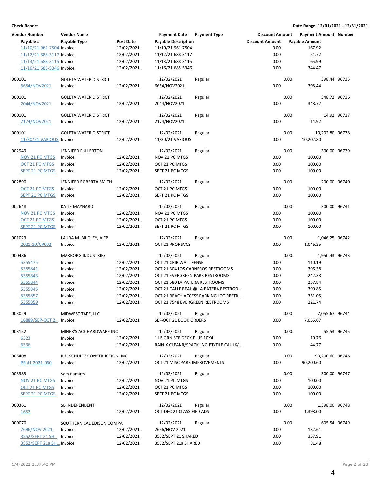| <b>Vendor Number</b>      | <b>Vendor Name</b>              |            | <b>Payment Date</b>             | <b>Payment Type</b>                    | <b>Discount Amount</b> |      | Payment Amount Number |  |
|---------------------------|---------------------------------|------------|---------------------------------|----------------------------------------|------------------------|------|-----------------------|--|
| Payable #                 | Payable Type                    | Post Date  | <b>Payable Description</b>      |                                        | <b>Discount Amount</b> |      | <b>Payable Amount</b> |  |
| 11/10/21 961-7504 Invoice |                                 | 12/02/2021 | 11/10/21 961-7504               |                                        | 0.00                   |      | 167.92                |  |
| 11/12/21 688-3117 Invoice |                                 | 12/02/2021 | 11/12/21 688-3117               |                                        | 0.00                   |      | 51.72                 |  |
|                           |                                 |            |                                 |                                        | 0.00                   |      | 65.99                 |  |
| 11/13/21 688-3115 Invoice |                                 | 12/02/2021 | 11/13/21 688-3115               |                                        |                        |      |                       |  |
| 11/16/21 685-5346 Invoice |                                 | 12/02/2021 | 11/16/21 685-5346               |                                        | 0.00                   |      | 344.47                |  |
| 000101                    | <b>GOLETA WATER DISTRICT</b>    |            | 12/02/2021                      | Regular                                |                        | 0.00 | 398.44 96735          |  |
| 6654/NOV2021              | Invoice                         | 12/02/2021 | 6654/NOV2021                    |                                        | 0.00                   |      | 398.44                |  |
|                           |                                 |            |                                 |                                        |                        |      |                       |  |
| 000101                    | <b>GOLETA WATER DISTRICT</b>    |            | 12/02/2021                      | Regular                                |                        | 0.00 | 348.72 96736          |  |
| 2044/NOV2021              | Invoice                         | 12/02/2021 | 2044/NOV2021                    |                                        | 0.00                   |      | 348.72                |  |
|                           |                                 |            |                                 |                                        |                        |      |                       |  |
| 000101                    | <b>GOLETA WATER DISTRICT</b>    |            | 12/02/2021                      | Regular                                |                        | 0.00 | 14.92 96737           |  |
| 2174/NOV2021              | Invoice                         | 12/02/2021 | 2174/NOV2021                    |                                        | 0.00                   |      | 14.92                 |  |
|                           |                                 |            |                                 |                                        |                        |      |                       |  |
| 000101                    | <b>GOLETA WATER DISTRICT</b>    |            | 12/02/2021                      | Regular                                |                        | 0.00 | 10,202.80 96738       |  |
| 11/30/21 VARIOUS Invoice  |                                 | 12/02/2021 | 11/30/21 VARIOUS                |                                        | 0.00                   |      | 10,202.80             |  |
|                           |                                 |            |                                 |                                        |                        |      |                       |  |
| 002949                    | JENNIFER FULLERTON              |            | 12/02/2021                      | Regular                                |                        | 0.00 | 300.00 96739          |  |
| NOV 21 PC MTGS            | Invoice                         | 12/02/2021 | NOV 21 PC MTGS                  |                                        | 0.00                   |      | 100.00                |  |
| <b>OCT 21 PC MTGS</b>     | Invoice                         | 12/02/2021 | OCT 21 PC MTGS                  |                                        | 0.00                   |      | 100.00                |  |
| <b>SEPT 21 PC MTGS</b>    | Invoice                         | 12/02/2021 | SEPT 21 PC MTGS                 |                                        | 0.00                   |      | 100.00                |  |
|                           |                                 |            |                                 |                                        |                        |      |                       |  |
| 002890                    | JENNIFER ROBERTA SMITH          |            | 12/02/2021                      | Regular                                |                        | 0.00 | 200.00 96740          |  |
| OCT 21 PC MTGS            | Invoice                         | 12/02/2021 | OCT 21 PC MTGS                  |                                        | 0.00                   |      | 100.00                |  |
| <b>SEPT 21 PC MTGS</b>    | Invoice                         | 12/02/2021 | SEPT 21 PC MTGS                 |                                        | 0.00                   |      | 100.00                |  |
|                           |                                 |            |                                 |                                        |                        |      |                       |  |
| 002648                    | <b>KATIE MAYNARD</b>            |            | 12/02/2021                      | Regular                                |                        | 0.00 | 300.00 96741          |  |
| NOV 21 PC MTGS            | Invoice                         | 12/02/2021 | NOV 21 PC MTGS                  |                                        | 0.00                   |      | 100.00                |  |
| OCT 21 PC MTGS            | Invoice                         | 12/02/2021 | OCT 21 PC MTGS                  |                                        | 0.00                   |      | 100.00                |  |
| <b>SEPT 21 PC MTGS</b>    | Invoice                         | 12/02/2021 | SEPT 21 PC MTGS                 |                                        | 0.00                   |      | 100.00                |  |
| 001023                    |                                 |            | 12/02/2021                      |                                        |                        | 0.00 |                       |  |
|                           | LAURA M. BRIDLEY, AICP          |            |                                 | Regular                                |                        |      | 1,046.25 96742        |  |
| 2021-10/CP002             | Invoice                         | 12/02/2021 | OCT 21 PROF SVCS                |                                        | 0.00                   |      | 1,046.25              |  |
| 000486                    | <b>MARBORG INDUSTRIES</b>       |            | 12/02/2021                      | Regular                                |                        | 0.00 | 1,950.43 96743        |  |
| 5355475                   | Invoice                         | 12/02/2021 | OCT 21 CRIB WALL FENSE          |                                        | 0.00                   |      | 110.19                |  |
| 5355841                   | Invoice                         | 12/02/2021 |                                 | OCT 21 304 LOS CARNEROS RESTROOMS      | 0.00                   |      | 396.38                |  |
|                           |                                 |            |                                 |                                        |                        |      |                       |  |
| 5355843                   | Invoice                         | 12/02/2021 | OCT 21 EVERGREEN PARK RESTROOMS |                                        | 0.00                   |      | 242.38                |  |
| 5355844                   | Invoice                         | 12/02/2021 | OCT 21 580 LA PATERA RESTROOMS  |                                        | 0.00                   |      | 237.84                |  |
| 5355845                   | Invoice                         | 12/02/2021 |                                 | OCT 21 CALLE REAL @ LA PATERA RESTROO  | 0.00                   |      | 390.85                |  |
| 5355857                   | Invoice                         | 12/02/2021 |                                 | OCT 21 BEACH ACCESS PARKING LOT RESTR  | 0.00                   |      | 351.05                |  |
| 5355859                   | Invoice                         | 12/02/2021 | OCT 21 7548 EVERGREEN RESTROOMS |                                        | 0.00                   |      | 221.74                |  |
|                           |                                 |            | 12/02/2021                      |                                        |                        | 0.00 |                       |  |
| 003029                    | MIDWEST TAPE, LLC               |            |                                 | Regular                                |                        |      | 7,055.67 96744        |  |
| 16889/SEP-OCT 2 Invoice   |                                 | 12/02/2021 | SEP-OCT 21 BOOK ORDERS          |                                        | 0.00                   |      | 7,055.67              |  |
| 003152                    | MINER'S ACE HARDWARE INC        |            | 12/02/2021                      | Regular                                |                        | 0.00 | 55.53 96745           |  |
| 6323                      | Invoice                         | 12/02/2021 | 1 LB GRN STR DECK PLUS 10X4     |                                        | 0.00                   |      | 10.76                 |  |
| 6336                      | Invoice                         | 12/02/2021 |                                 | RAIN-X CLEANR/SPACKLING PT/TILE CAULK/ | 0.00                   |      | 44.77                 |  |
|                           |                                 |            |                                 |                                        |                        |      |                       |  |
| 003408                    | R.E. SCHULTZ CONSTRUCTION, INC. |            | 12/02/2021                      | Regular                                |                        | 0.00 | 90,200.60 96746       |  |
| PR #1 2021-060            | Invoice                         | 12/02/2021 | OCT 21 MISC PARK IMPROVEMENTS   |                                        | 0.00                   |      | 90,200.60             |  |
|                           |                                 |            |                                 |                                        |                        |      |                       |  |
| 003383                    | Sam Ramirez                     |            | 12/02/2021                      | Regular                                |                        | 0.00 | 300.00 96747          |  |
| NOV 21 PC MTGS            | Invoice                         | 12/02/2021 | NOV 21 PC MTGS                  |                                        | 0.00                   |      | 100.00                |  |
| <b>OCT 21 PC MTGS</b>     | Invoice                         | 12/02/2021 | OCT 21 PC MTGS                  |                                        | 0.00                   |      | 100.00                |  |
| <b>SEPT 21 PC MTGS</b>    | Invoice                         | 12/02/2021 | SEPT 21 PC MTGS                 |                                        | 0.00                   |      | 100.00                |  |
|                           |                                 |            |                                 |                                        |                        |      |                       |  |
| 000361                    | SB INDEPENDENT                  |            | 12/02/2021                      | Regular                                |                        | 0.00 | 1,398.00 96748        |  |
| 1652                      | Invoice                         | 12/02/2021 | OCT-DEC 21 CLASSIFIED ADS       |                                        | 0.00                   |      | 1,398.00              |  |
|                           |                                 |            |                                 |                                        |                        |      |                       |  |
| 000070                    | SOUTHERN CAL EDISON COMPA       |            | 12/02/2021                      | Regular                                |                        | 0.00 | 605.54 96749          |  |
| 2696/NOV 2021             | Invoice                         | 12/02/2021 | 2696/NOV 2021                   |                                        | 0.00                   |      | 132.61                |  |
| 3552/SEPT 21 SH Invoice   |                                 | 12/02/2021 | 3552/SEPT 21 SHARED             |                                        | 0.00                   |      | 357.91                |  |
| 3552/SEPT 21a SH Invoice  |                                 | 12/02/2021 | 3552/SEPT 21a SHARED            |                                        | 0.00                   |      | 81.48                 |  |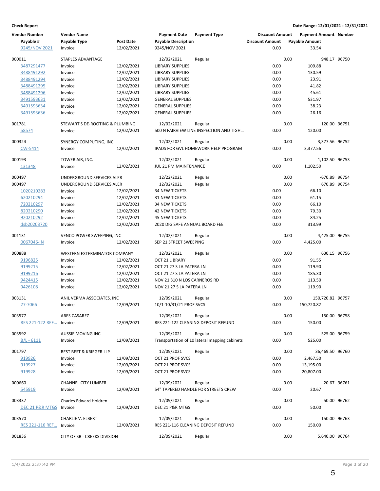| <b>Vendor Number</b>           | <b>Vendor Name</b>              |                  | <b>Payment Date</b>            | <b>Payment Type</b>                           | <b>Discount Amount</b> |      | <b>Payment Amount Number</b> |             |
|--------------------------------|---------------------------------|------------------|--------------------------------|-----------------------------------------------|------------------------|------|------------------------------|-------------|
| Payable #                      | Payable Type                    | <b>Post Date</b> | <b>Payable Description</b>     |                                               | <b>Discount Amount</b> |      | <b>Payable Amount</b>        |             |
| 9245/NOV 2021                  | Invoice                         | 12/02/2021       | 9245/NOV 2021                  |                                               | 0.00                   |      | 33.54                        |             |
|                                |                                 |                  |                                |                                               |                        |      |                              |             |
| 000011                         | STAPLES ADVANTAGE               |                  | 12/02/2021                     | Regular                                       |                        | 0.00 | 948.17 96750                 |             |
| 3487291477                     | Invoice                         | 12/02/2021       | <b>LIBRARY SUPPLIES</b>        |                                               | 0.00                   |      | 109.88                       |             |
| 3488491292                     | Invoice                         | 12/02/2021       | <b>LIBRARY SUPPLIES</b>        |                                               | 0.00                   |      | 130.59                       |             |
| 3488491294                     | Invoice                         | 12/02/2021       | <b>LIBRARY SUPPLIES</b>        |                                               | 0.00                   |      | 23.91                        |             |
| 3488491295                     | Invoice                         | 12/02/2021       | <b>LIBRARY SUPPLIES</b>        |                                               | 0.00                   |      | 41.82                        |             |
| 3488491296                     | Invoice                         | 12/02/2021       | <b>LIBRARY SUPPLIES</b>        |                                               | 0.00                   |      | 45.61                        |             |
|                                |                                 | 12/02/2021       |                                |                                               | 0.00                   |      |                              |             |
| 3491593631                     | Invoice                         |                  | <b>GENERAL SUPPLIES</b>        |                                               |                        |      | 531.97                       |             |
| 3491593634                     | Invoice                         | 12/02/2021       | <b>GENERAL SUPPLIES</b>        |                                               | 0.00                   |      | 38.23                        |             |
| 3491593636                     | Invoice                         | 12/02/2021       | <b>GENERAL SUPPLIES</b>        |                                               | 0.00                   |      | 26.16                        |             |
| 001781                         | STEWART'S DE-ROOTING & PLUMBING |                  | 12/02/2021                     | Regular                                       |                        | 0.00 | 120.00 96751                 |             |
|                                |                                 | 12/02/2021       |                                | 500 N FAIRVIEW LINE INSPECTION AND TIGH       | 0.00                   |      | 120.00                       |             |
| 58574                          | Invoice                         |                  |                                |                                               |                        |      |                              |             |
| 000324                         | SYNERGY COMPUTING, INC.         |                  | 12/02/2021                     | Regular                                       |                        | 0.00 | 3,377.56 96752               |             |
| CW-5414                        | Invoice                         | 12/02/2021       |                                | IPADS FOR GVL HOMEWORK HELP PROGRAM           | 0.00                   |      | 3,377.56                     |             |
|                                |                                 |                  |                                |                                               |                        |      |                              |             |
| 000193                         | TOWER AIR, INC.                 |                  | 12/02/2021                     | Regular                                       |                        | 0.00 | 1,102.50 96753               |             |
| 131348                         | Invoice                         | 12/02/2021       | JUL 21 PM MAINTENANCE          |                                               | 0.00                   |      | 1,102.50                     |             |
|                                |                                 |                  |                                |                                               |                        |      |                              |             |
| 000497                         | UNDERGROUND SERVICES ALER       |                  | 12/22/2021                     | Regular                                       |                        | 0.00 | -670.89 96754                |             |
| 000497                         | UNDERGROUND SERVICES ALER       |                  | 12/02/2021                     | Regular                                       |                        | 0.00 | 670.89 96754                 |             |
| 1020210283                     | Invoice                         | 12/02/2021       | <b>34 NEW TICKETS</b>          |                                               | 0.00                   |      | 66.10                        |             |
| 620210294                      | Invoice                         | 12/02/2021       | <b>31 NEW TICKETS</b>          |                                               | 0.00                   |      | 61.15                        |             |
| 720210297                      | Invoice                         | 12/02/2021       | <b>34 NEW TICKETS</b>          |                                               | 0.00                   |      | 66.10                        |             |
|                                |                                 |                  |                                |                                               |                        |      |                              |             |
| 820210290                      | Invoice                         | 12/02/2021       | <b>42 NEW TICKETS</b>          |                                               | 0.00                   |      | 79.30                        |             |
| 920210292                      | Invoice                         | 12/02/2021       | <b>45 NEW TICKETS</b>          |                                               | 0.00                   |      | 84.25                        |             |
| dsb20203720                    | Invoice                         | 12/02/2021       | 2020 DIG SAFE ANNUAL BOARD FEE |                                               | 0.00                   |      | 313.99                       |             |
| 001131                         | VENCO POWER SWEEPING, INC       |                  | 12/02/2021                     |                                               |                        | 0.00 | 4,425.00 96755               |             |
|                                |                                 |                  |                                | Regular                                       |                        |      |                              |             |
| 0067046-IN                     | Invoice                         | 12/02/2021       | SEP 21 STREET SWEEPING         |                                               | 0.00                   |      | 4,425.00                     |             |
| 000888                         | WESTERN EXTERMINATOR COMPANY    |                  | 12/02/2021                     | Regular                                       |                        | 0.00 | 630.15 96756                 |             |
| 9196825                        | Invoice                         | 12/02/2021       | OCT 21 LIBRARY                 |                                               | 0.00                   |      | 91.55                        |             |
|                                |                                 |                  |                                |                                               | 0.00                   |      |                              |             |
| 9199215                        | Invoice                         | 12/02/2021       | OCT 21 27 S LA PATERA LN       |                                               |                        |      | 119.90                       |             |
| 9199216                        | Invoice                         | 12/02/2021       | OCT 21 27 S LA PATERA LN       |                                               | 0.00                   |      | 185.30                       |             |
| 9424415                        | Invoice                         | 12/02/2021       | NOV 21 310 N LOS CARNEROS RD   |                                               | 0.00                   |      | 113.50                       |             |
| 9426108                        | Invoice                         | 12/02/2021       | NOV 21 27 S LA PATERA LN       |                                               | 0.00                   |      | 119.90                       |             |
|                                |                                 |                  |                                |                                               |                        |      |                              |             |
| 003131                         | ANIL VERMA ASSOCIATES, INC      |                  | 12/09/2021                     | Regular                                       |                        | 0.00 | 150,720.82 96757             |             |
| 27-7066                        | Invoice                         | 12/09/2021       | 10/1-10/31/21 PROF SVCS        |                                               | 0.00                   |      | 150,720.82                   |             |
| 003577                         | ARES CASAREZ                    |                  | 12/09/2021                     | Regular                                       |                        | 0.00 | 150.00 96758                 |             |
|                                |                                 |                  |                                |                                               | 0.00                   |      |                              |             |
| <b>RES 221-122 REF Invoice</b> |                                 | 12/09/2021       |                                | RES 221-122 CLEANING DEPOSIT REFUND           |                        |      | 150.00                       |             |
| 003592                         | AUSSIE MOVING INC               |                  | 12/09/2021                     | Regular                                       |                        | 0.00 | 525.00 96759                 |             |
| $B/L - 6111$                   | Invoice                         | 12/09/2021       |                                | Transportation of 10 lateral mapping cabinets | 0.00                   |      | 525.00                       |             |
|                                |                                 |                  |                                |                                               |                        |      |                              |             |
| 001797                         | BEST BEST & KRIEGER LLP         |                  | 12/09/2021                     | Regular                                       |                        | 0.00 | 36,469.50 96760              |             |
| 919926                         | Invoice                         | 12/09/2021       | OCT 21 PROF SVCS               |                                               | 0.00                   |      | 2,467.50                     |             |
| 919927                         | Invoice                         | 12/09/2021       | OCT 21 PROF SVCS               |                                               | 0.00                   |      | 13,195.00                    |             |
| 919928                         | Invoice                         | 12/09/2021       | OCT 21 PROF SVCS               |                                               | 0.00                   |      | 20,807.00                    |             |
|                                |                                 |                  |                                |                                               |                        |      |                              |             |
| 000660                         | <b>CHANNEL CITY LUMBER</b>      |                  | 12/09/2021                     | Regular                                       |                        | 0.00 |                              | 20.67 96761 |
| 545919                         | Invoice                         | 12/09/2021       |                                | 54" TAPERED HANDLE FOR STREETS CREW           | 0.00                   |      | 20.67                        |             |
|                                |                                 |                  |                                |                                               |                        |      |                              |             |
| 003337                         | Charles Edward Holdren          |                  | 12/09/2021                     | Regular                                       |                        | 0.00 |                              | 50.00 96762 |
| DEC 21 P&R MTGS                | Invoice                         | 12/09/2021       | DEC 21 P&R MTGS                |                                               | 0.00                   |      | 50.00                        |             |
|                                |                                 |                  |                                |                                               |                        |      |                              |             |
| 003570                         | CHARLIE V. ELBERT               |                  | 12/09/2021                     | Regular                                       |                        | 0.00 | 150.00 96763                 |             |
| <b>RES 221-116 REF Invoice</b> |                                 | 12/09/2021       |                                | RES 221-116 CLEANING DEPOSIT REFUND           | 0.00                   |      | 150.00                       |             |
|                                |                                 |                  |                                |                                               |                        |      |                              |             |
| 001836                         | CITY OF SB - CREEKS DIVISION    |                  | 12/09/2021                     | Regular                                       |                        | 0.00 | 5,640.00 96764               |             |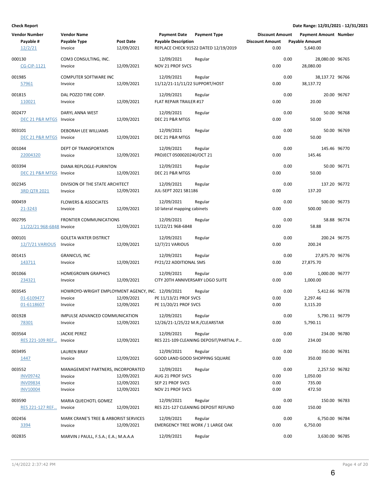| <b>Vendor Number</b>      | <b>Vendor Name</b>                                |                  | <b>Payment Date</b>              | <b>Payment Type</b>                    | <b>Discount Amount</b> |      | Payment Amount Number |             |
|---------------------------|---------------------------------------------------|------------------|----------------------------------|----------------------------------------|------------------------|------|-----------------------|-------------|
| Payable #                 | Payable Type                                      | <b>Post Date</b> | <b>Payable Description</b>       |                                        | <b>Discount Amount</b> |      | <b>Payable Amount</b> |             |
| 12/2/21                   | Invoice                                           | 12/09/2021       |                                  | REPLACE CHECK 91522 DATED 12/19/2019   | 0.00                   |      | 5,640.00              |             |
|                           |                                                   |                  |                                  |                                        |                        |      |                       |             |
| 000130                    | COM3 CONSULTING, INC.                             |                  | 12/09/2021                       | Regular                                |                        | 0.00 | 28,080.00 96765       |             |
| <b>CG-CIP-1121</b>        | Invoice                                           | 12/09/2021       | NOV 21 PROF SVCS                 |                                        | 0.00                   |      | 28,080.00             |             |
|                           |                                                   |                  |                                  |                                        |                        |      |                       |             |
| 001985                    | COMPUTER SOFTWARE INC                             |                  | 12/09/2021                       | Regular                                |                        | 0.00 | 38,137.72 96766       |             |
| 57961                     | Invoice                                           | 12/09/2021       | 11/12/21-11/11/22 SUPPORT/HOST   |                                        | 0.00                   |      | 38,137.72             |             |
|                           |                                                   |                  |                                  |                                        |                        |      |                       |             |
| 001815                    | DAL POZZO TIRE CORP.                              |                  | 12/09/2021                       | Regular                                |                        | 0.00 |                       | 20.00 96767 |
| 110021                    | Invoice                                           | 12/09/2021       | FLAT REPAIR TRAILER #17          |                                        | 0.00                   |      | 20.00                 |             |
|                           |                                                   |                  |                                  |                                        |                        |      |                       |             |
| 002477                    | DARYL ANNA WEST                                   |                  | 12/09/2021                       | Regular                                |                        | 0.00 |                       | 50.00 96768 |
| DEC 21 P&R MTGS Invoice   |                                                   | 12/09/2021       | DEC 21 P&R MTGS                  |                                        | 0.00                   |      | 50.00                 |             |
|                           |                                                   |                  |                                  |                                        |                        |      |                       |             |
| 003101                    | DEBORAH LEE WILLIAMS                              |                  | 12/09/2021                       | Regular                                |                        | 0.00 |                       | 50.00 96769 |
| DEC 21 P&R MTGS Invoice   |                                                   | 12/09/2021       | DEC 21 P&R MTGS                  |                                        | 0.00                   |      | 50.00                 |             |
|                           |                                                   |                  |                                  |                                        |                        |      |                       |             |
| 001044                    | DEPT OF TRANSPORTATION                            |                  | 12/09/2021                       | Regular                                |                        | 0.00 | 145.46 96770          |             |
| 22004320                  | Invoice                                           | 12/09/2021       | PROJECT 0500020240/OCT 21        |                                        | 0.00                   |      | 145.46                |             |
|                           |                                                   |                  |                                  |                                        |                        |      |                       |             |
| 003394                    | DIANA REPLOGLE-PURINTON                           |                  | 12/09/2021                       | Regular                                |                        | 0.00 |                       | 50.00 96771 |
| DEC 21 P&R MTGS Invoice   |                                                   | 12/09/2021       | DEC 21 P&R MTGS                  |                                        | 0.00                   |      | 50.00                 |             |
|                           |                                                   |                  |                                  |                                        |                        |      |                       |             |
| 002345                    | DIVISION OF THE STATE ARCHITECT                   |                  | 12/09/2021                       | Regular                                |                        | 0.00 | 137.20 96772          |             |
| <b>3RD QTR 2021</b>       | Invoice                                           | 12/09/2021       | JUL-SEPT 2021 SB1186             |                                        | 0.00                   |      | 137.20                |             |
|                           |                                                   |                  |                                  |                                        |                        |      |                       |             |
| 000459                    | <b>FLOWERS &amp; ASSOCIATES</b>                   |                  | 12/09/2021                       | Regular                                |                        | 0.00 | 500.00 96773          |             |
|                           |                                                   |                  |                                  |                                        |                        |      |                       |             |
| 21-3243                   | Invoice                                           | 12/09/2021       | 10 lateral mapping cabinets      |                                        | 0.00                   |      | 500.00                |             |
| 002795                    | <b>FRONTIER COMMUNICATIONS</b>                    |                  | 12/09/2021                       | Regular                                |                        | 0.00 |                       | 58.88 96774 |
|                           |                                                   |                  |                                  |                                        | 0.00                   |      | 58.88                 |             |
| 11/22/21 968-6848 Invoice |                                                   | 12/09/2021       | 11/22/21 968-6848                |                                        |                        |      |                       |             |
| 000101                    | <b>GOLETA WATER DISTRICT</b>                      |                  | 12/09/2021                       | Regular                                |                        | 0.00 | 200.24 96775          |             |
|                           |                                                   |                  |                                  |                                        |                        |      |                       |             |
| 12/7/21 VARIOUS           | Invoice                                           | 12/09/2021       | 12/7/21 VARIOUS                  |                                        | 0.00                   |      | 200.24                |             |
| 001415                    | <b>GRANICUS, INC</b>                              |                  | 12/09/2021                       | Regular                                |                        | 0.00 | 27,875.70 96776       |             |
|                           |                                                   |                  |                                  |                                        |                        |      |                       |             |
| 143711                    | Invoice                                           | 12/09/2021       | FY21/22 ADDITIONAL SMS           |                                        | 0.00                   |      | 27,875.70             |             |
| 001066                    | <b>HOMEGROWN GRAPHICS</b>                         |                  | 12/09/2021                       |                                        |                        | 0.00 | 1,000.00 96777        |             |
|                           |                                                   |                  |                                  | Regular                                |                        |      |                       |             |
| 234321                    | Invoice                                           | 12/09/2021       | CITY 20TH ANNIVERSARY LOGO SUITE |                                        | 0.00                   |      | 1,000.00              |             |
| 003545                    | HOWROYD-WRIGHT EMPLOYMENT AGENCY, INC. 12/09/2021 |                  |                                  |                                        |                        | 0.00 |                       |             |
|                           |                                                   |                  |                                  | Regular                                |                        |      | 5,412.66 96778        |             |
| 01-6109477                | Invoice                                           | 12/09/2021       | PE 11/13/21 PROF SVCS            |                                        | 0.00                   |      | 2,297.46              |             |
| 01-6118607                | Invoice                                           | 12/09/2021       | PE 11/20/21 PROF SVCS            |                                        | 0.00                   |      | 3,115.20              |             |
|                           |                                                   |                  |                                  |                                        |                        |      |                       |             |
| 001928                    | IMPULSE ADVANCED COMMUNICATION                    |                  | 12/09/2021                       | Regular                                |                        | 0.00 | 5,790.11 96779        |             |
| 78301                     | Invoice                                           | 12/09/2021       | 12/26/21-1/25/22 M.R./CLEARSTAR  |                                        | 0.00                   |      | 5,790.11              |             |
|                           |                                                   |                  |                                  |                                        |                        |      |                       |             |
| 003564                    | <b>JACKIE PEREZ</b>                               |                  | 12/09/2021                       | Regular                                |                        | 0.00 | 234.00 96780          |             |
| RES 221-109 REF           | Invoice                                           | 12/09/2021       |                                  | RES 221-109 CLEANING DEPOSIT/PARTIAL P | 0.00                   |      | 234.00                |             |
|                           |                                                   |                  |                                  |                                        |                        |      |                       |             |
| 003495                    | <b>LAUREN BRAY</b>                                |                  | 12/09/2021                       | Regular                                |                        | 0.00 | 350.00 96781          |             |
| 1447                      | Invoice                                           | 12/09/2021       | GOOD LAND GOOD SHOPPING SQUARE   |                                        | 0.00                   |      | 350.00                |             |
|                           |                                                   |                  |                                  |                                        |                        |      |                       |             |
| 003552                    | MANAGEMENT PARTNERS, INCORPORATED                 |                  | 12/09/2021                       | Regular                                |                        | 0.00 | 2,257.50 96782        |             |
| <b>INV09742</b>           | Invoice                                           | 12/09/2021       | AUG 21 PROF SVCS                 |                                        | 0.00                   |      | 1,050.00              |             |
| <b>INV09834</b>           | Invoice                                           | 12/09/2021       | SEP 21 PROF SVCS                 |                                        | 0.00                   |      | 735.00                |             |
| <b>INV10004</b>           | Invoice                                           | 12/09/2021       | NOV 21 PROF SVCS                 |                                        | 0.00                   |      | 472.50                |             |
|                           |                                                   |                  |                                  |                                        |                        |      |                       |             |
| 003590                    | MARIA QUECHOTL GOMEZ                              |                  | 12/09/2021                       | Regular                                |                        | 0.00 | 150.00 96783          |             |
| RES 221-127 REF           | Invoice                                           | 12/09/2021       |                                  | RES 221-127 CLEANING DEPOSIT REFUND    | 0.00                   |      | 150.00                |             |
|                           |                                                   |                  |                                  |                                        |                        |      |                       |             |
| 002456                    | MARK CRANE'S TREE & ARBORIST SERVICES             |                  | 12/09/2021                       | Regular                                |                        | 0.00 | 6,750.00 96784        |             |
| 3394                      | Invoice                                           | 12/09/2021       |                                  | EMERGENCY TREE WORK / 1 LARGE OAK      | 0.00                   |      | 6,750.00              |             |
|                           |                                                   |                  |                                  |                                        |                        |      |                       |             |
| 002835                    | MARVIN J PAULL, F.S.A.; E.A.; M.A.A.A             |                  | 12/09/2021                       | Regular                                |                        | 0.00 | 3,630.00 96785        |             |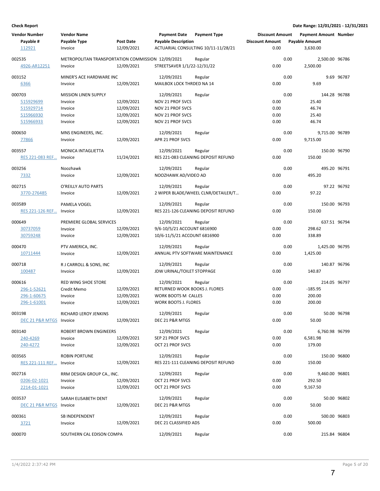| <b>Vendor Number</b>           | <b>Vendor Name</b>                                |                  | <b>Payment Date Payment Type</b> |                                                | <b>Discount Amount</b> | <b>Payment Amount Number</b> |              |
|--------------------------------|---------------------------------------------------|------------------|----------------------------------|------------------------------------------------|------------------------|------------------------------|--------------|
| Payable #                      | Payable Type                                      | <b>Post Date</b> | <b>Payable Description</b>       |                                                | <b>Discount Amount</b> | <b>Payable Amount</b>        |              |
| 112921                         | Invoice                                           | 12/09/2021       |                                  | ACTUARIAL CONSULTING 10/11-11/28/21            | 0.00                   | 3,630.00                     |              |
| 002535                         | METROPOLITAN TRANSPORTATION COMMISSION 12/09/2021 |                  |                                  | Regular                                        | 0.00                   | 2,500.00 96786               |              |
| 4926-AR12251                   | Invoice                                           | 12/09/2021       | STREETSAVER 1/1/22-12/31/22      |                                                | 0.00                   | 2,500.00                     |              |
| 003152                         | MINER'S ACE HARDWARE INC                          |                  | 12/09/2021                       | Regular                                        | 0.00                   |                              | 9.69 96787   |
| 6366                           | Invoice                                           | 12/09/2021       | MAILBOX LOCK THRDED NA 14        |                                                | 0.00                   | 9.69                         |              |
| 000703                         | <b>MISSION LINEN SUPPLY</b>                       |                  | 12/09/2021                       |                                                | 0.00                   | 144.28 96788                 |              |
|                                |                                                   |                  |                                  | Regular                                        |                        |                              |              |
| 515929699                      | Invoice                                           | 12/09/2021       | NOV 21 PROF SVCS                 |                                                | 0.00                   | 25.40                        |              |
| 515929714                      | Invoice                                           | 12/09/2021       | <b>NOV 21 PROF SVCS</b>          |                                                | 0.00                   | 46.74                        |              |
| 515966930                      | Invoice                                           | 12/09/2021       | NOV 21 PROF SVCS                 |                                                | 0.00                   | 25.40                        |              |
| 515966933                      | Invoice                                           | 12/09/2021       | NOV 21 PROF SVCS                 |                                                | 0.00                   | 46.74                        |              |
| 000650                         | MNS ENGINEERS, INC.                               |                  | 12/09/2021                       | Regular                                        | 0.00                   | 9,715.00 96789               |              |
| 77866                          | Invoice                                           | 12/09/2021       | APR 21 PROF SVCS                 |                                                | 0.00                   | 9,715.00                     |              |
| 003557                         | MONICA INTAGLIETTA                                |                  | 12/09/2021                       | Regular                                        | 0.00                   | 150.00 96790                 |              |
| RES 221-083 REF                | Invoice                                           | 11/24/2021       |                                  | RES 221-083 CLEANING DEPOSIT REFUND            | 0.00                   | 150.00                       |              |
| 003256                         | Noozhawk                                          |                  | 12/09/2021                       | Regular                                        | 0.00                   |                              | 495.20 96791 |
| 7332                           | Invoice                                           | 12/09/2021       | NOOZHAWK AD/VIDEO AD             |                                                | 0.00                   | 495.20                       |              |
| 002715                         | O'REILLY AUTO PARTS                               |                  | 12/09/2021                       | Regular                                        | 0.00                   |                              | 97.22 96792  |
| 3770-276485                    | Invoice                                           | 12/09/2021       |                                  | 2 WIPER BLADE/WHEEL CLNR/DETAILER/T            | 0.00                   | 97.22                        |              |
| 003589                         | <b>PAMELA VOGEL</b>                               |                  | 12/09/2021                       |                                                | 0.00                   | 150.00 96793                 |              |
| <b>RES 221-126 REF Invoice</b> |                                                   | 12/09/2021       |                                  | Regular<br>RES 221-126 CLEANING DEPOSIT REFUND | 0.00                   | 150.00                       |              |
|                                |                                                   |                  |                                  |                                                |                        |                              |              |
| 000649                         | PREMIERE GLOBAL SERVICES                          |                  | 12/09/2021                       | Regular                                        | 0.00                   | 637.51 96794                 |              |
| 30737059                       | Invoice                                           | 12/09/2021       | 9/6-10/5/21 ACCOUNT 6816900      |                                                | 0.00                   | 298.62                       |              |
| 30759248                       | Invoice                                           | 12/09/2021       | 10/6-11/5/21 ACCOUNT 6816900     |                                                | 0.00                   | 338.89                       |              |
| 000470                         | PTV AMERICA, INC.                                 |                  | 12/09/2021                       | Regular                                        | 0.00                   | 1,425.00 96795               |              |
| 10711444                       | Invoice                                           | 12/09/2021       |                                  | ANNUAL PTV SOFTWARE MAINTENANCE                | 0.00                   | 1,425.00                     |              |
| 000718                         | R J CARROLL & SONS, INC                           |                  | 12/09/2021                       | Regular                                        | 0.00                   | 140.87 96796                 |              |
| 100487                         | Invoice                                           | 12/09/2021       | JDW URINAL/TOILET STOPPAGE       |                                                | 0.00                   | 140.87                       |              |
| 000616                         | <b>RED WING SHOE STORE</b>                        |                  | 12/09/2021                       | Regular                                        | 0.00                   | 214.05 96797                 |              |
|                                |                                                   |                  | RETURNED WOOK BOOKS J. FLORES    |                                                | 0.00                   | $-185.95$                    |              |
| 296-1-52621                    | Credit Memo                                       | 12/09/2021       |                                  |                                                |                        |                              |              |
| 296-1-60675                    | Invoice                                           | 12/09/2021       | WORK BOOTS M CALLES              |                                                | 0.00                   | 200.00                       |              |
| 296-1-61001                    | Invoice                                           | 12/09/2021       | <b>WORK BOOTS J. FLORES</b>      |                                                | 0.00                   | 200.00                       |              |
| 003198                         | RICHARD LEROY JENKINS                             |                  | 12/09/2021                       | Regular                                        | 0.00                   |                              | 50.00 96798  |
| DEC 21 P&R MTGS Invoice        |                                                   | 12/09/2021       | DEC 21 P&R MTGS                  |                                                | 0.00                   | 50.00                        |              |
| 003140                         | ROBERT BROWN ENGINEERS                            |                  | 12/09/2021                       | Regular                                        | 0.00                   | 6,760.98 96799               |              |
| 240-4269                       | Invoice                                           | 12/09/2021       | SEP 21 PROF SVCS                 |                                                | 0.00                   | 6,581.98                     |              |
| 240-4272                       | Invoice                                           | 12/09/2021       | OCT 21 PROF SVCS                 |                                                | 0.00                   | 179.00                       |              |
| 003565                         | <b>ROBIN PORTUNE</b>                              |                  | 12/09/2021                       | Regular                                        | 0.00                   | 150.00 96800                 |              |
| <b>RES 221-111 REF Invoice</b> |                                                   | 12/09/2021       |                                  | RES 221-111 CLEANING DEPOSIT REFUND            | 0.00                   | 150.00                       |              |
|                                |                                                   |                  |                                  |                                                |                        |                              |              |
| 002716                         | RRM DESIGN GROUP CA., INC.                        |                  | 12/09/2021                       | Regular                                        | 0.00                   | 9,460.00 96801               |              |
| 0206-02-1021                   | Invoice                                           | 12/09/2021       | OCT 21 PROF SVCS                 |                                                | 0.00                   | 292.50                       |              |
| 2214-01-1021                   | Invoice                                           | 12/09/2021       | OCT 21 PROF SVCS                 |                                                | 0.00                   | 9,167.50                     |              |
| 003537                         | SARAH ELISABETH DENT                              |                  | 12/09/2021                       | Regular                                        | 0.00                   |                              | 50.00 96802  |
| DEC 21 P&R MTGS Invoice        |                                                   | 12/09/2021       | DEC 21 P&R MTGS                  |                                                | 0.00                   | 50.00                        |              |
| 000361                         | SB INDEPENDENT                                    |                  | 12/09/2021                       | Regular                                        | 0.00                   | 500.00 96803                 |              |
| 3721                           | Invoice                                           | 12/09/2021       | DEC 21 CLASSIFIED ADS            |                                                | 0.00                   | 500.00                       |              |
| 000070                         | SOUTHERN CAL EDISON COMPA                         |                  | 12/09/2021                       | Regular                                        | 0.00                   | 215.84 96804                 |              |
|                                |                                                   |                  |                                  |                                                |                        |                              |              |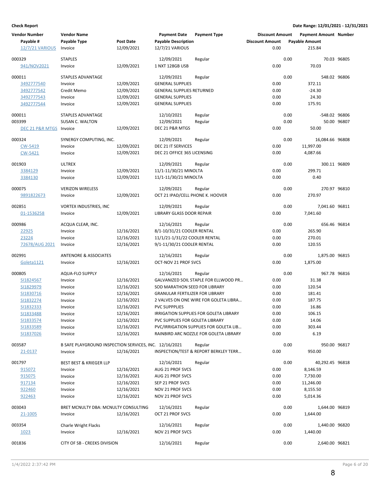| <b>Vendor Number</b><br>Payable #<br>12/7/21 VARIOUS | <b>Vendor Name</b><br>Payable Type<br>Invoice          | <b>Post Date</b><br>12/09/2021 | <b>Payment Date</b><br><b>Payable Description</b><br>12/7/21 VARIOUS | <b>Payment Type</b>                              | <b>Discount Amount</b><br><b>Discount Amount</b><br>0.00 |      | <b>Payment Amount Number</b><br><b>Payable Amount</b><br>215.84 |             |
|------------------------------------------------------|--------------------------------------------------------|--------------------------------|----------------------------------------------------------------------|--------------------------------------------------|----------------------------------------------------------|------|-----------------------------------------------------------------|-------------|
| 000329                                               | <b>STAPLES</b>                                         |                                | 12/09/2021                                                           | Regular                                          |                                                          | 0.00 |                                                                 | 70.03 96805 |
| 941/NOV2021                                          | Invoice                                                | 12/09/2021                     | 1 NXT 128GB USB                                                      |                                                  | 0.00                                                     |      | 70.03                                                           |             |
|                                                      |                                                        |                                |                                                                      |                                                  |                                                          |      |                                                                 |             |
| 000011                                               | STAPLES ADVANTAGE                                      |                                | 12/09/2021                                                           | Regular                                          |                                                          | 0.00 | 548.02 96806                                                    |             |
| 3492777540                                           | Invoice                                                | 12/09/2021                     | <b>GENERAL SUPPLIES</b>                                              |                                                  | 0.00                                                     |      | 372.11                                                          |             |
| 3492777542                                           | Credit Memo                                            | 12/09/2021                     | <b>GENERAL SUPPLIES RETURNED</b>                                     |                                                  | 0.00                                                     |      | $-24.30$                                                        |             |
| 3492777543                                           | Invoice                                                | 12/09/2021                     | <b>GENERAL SUPPLIES</b>                                              |                                                  | 0.00                                                     |      | 24.30                                                           |             |
| 3492777544                                           | Invoice                                                | 12/09/2021                     | <b>GENERAL SUPPLIES</b>                                              |                                                  | 0.00                                                     |      | 175.91                                                          |             |
| 000011                                               | STAPLES ADVANTAGE                                      |                                | 12/10/2021                                                           | Regular                                          |                                                          | 0.00 | -548.02 96806                                                   |             |
| 003399                                               | <b>SUSAN C. WALTON</b>                                 |                                | 12/09/2021                                                           | Regular                                          |                                                          | 0.00 |                                                                 | 50.00 96807 |
| DEC 21 P&R MTGS Invoice                              |                                                        | 12/09/2021                     | DEC 21 P&R MTGS                                                      |                                                  | 0.00                                                     |      | 50.00                                                           |             |
|                                                      |                                                        |                                |                                                                      |                                                  |                                                          |      |                                                                 |             |
| 000324                                               | SYNERGY COMPUTING, INC.                                |                                | 12/09/2021                                                           | Regular                                          |                                                          | 0.00 | 16,084.66 96808                                                 |             |
| CW-5419<br>CW-5421                                   | Invoice<br>Invoice                                     | 12/09/2021<br>12/09/2021       | DEC 21 IT SERVICES<br>DEC 21 OFFICE 365 LICENSING                    |                                                  | 0.00<br>0.00                                             |      | 11,997.00<br>4,087.66                                           |             |
|                                                      |                                                        |                                |                                                                      |                                                  |                                                          |      |                                                                 |             |
| 001903                                               | <b>ULTREX</b>                                          |                                | 12/09/2021                                                           | Regular                                          |                                                          | 0.00 | 300.11 96809                                                    |             |
| 3384129                                              | Invoice                                                | 12/09/2021                     | 11/1-11/30/21 MINOLTA                                                |                                                  | 0.00                                                     |      | 299.71                                                          |             |
| 3384130                                              | Invoice                                                | 12/09/2021                     | 11/1-11/30/21 MINOLTA                                                |                                                  | 0.00                                                     |      | 0.40                                                            |             |
|                                                      |                                                        |                                |                                                                      |                                                  |                                                          | 0.00 |                                                                 |             |
| 000075<br>9891822673                                 | <b>VERIZON WIRELESS</b><br>Invoice                     | 12/09/2021                     | 12/09/2021<br>OCT 21 IPAD/CELL PHONE K. HOOVER                       | Regular                                          | 0.00                                                     |      | 270.97 96810<br>270.97                                          |             |
|                                                      |                                                        |                                |                                                                      |                                                  |                                                          |      |                                                                 |             |
| 002851                                               | <b>VORTEX INDUSTRIES, INC</b>                          |                                | 12/09/2021                                                           | Regular                                          |                                                          | 0.00 | 7,041.60 96811                                                  |             |
| 01-1536258                                           | Invoice                                                | 12/09/2021                     | LIBRARY GLASS DOOR REPAIR                                            |                                                  | 0.00                                                     |      | 7,041.60                                                        |             |
|                                                      |                                                        |                                |                                                                      |                                                  |                                                          |      |                                                                 |             |
| 000986                                               | ACQUA CLEAR, INC.                                      |                                | 12/16/2021                                                           | Regular                                          |                                                          | 0.00 | 656.46 96814                                                    |             |
| 22925<br>23224                                       | Invoice                                                | 12/16/2021<br>12/16/2021       | 8/1-10/31/21 COOLER RENTAL<br>11/1/21-1/31/22 COOLER RENTAL          |                                                  | 0.00<br>0.00                                             |      | 265.90<br>270.01                                                |             |
| 72678/AUG 2021                                       | Invoice<br>Invoice                                     | 12/16/2021                     | 9/1-11/30/21 COOLER RENTAL                                           |                                                  | 0.00                                                     |      | 120.55                                                          |             |
|                                                      |                                                        |                                |                                                                      |                                                  |                                                          |      |                                                                 |             |
| 002991                                               | <b>ANTENORE &amp; ASSOCIATES</b>                       |                                | 12/16/2021                                                           | Regular                                          |                                                          | 0.00 | 1,875.00 96815                                                  |             |
| Goleta1121                                           | Invoice                                                | 12/16/2021                     | OCT-NOV 21 PROF SVCS                                                 |                                                  | 0.00                                                     |      | 1,875.00                                                        |             |
| 000805                                               | AQUA-FLO SUPPLY                                        |                                | 12/16/2021                                                           |                                                  |                                                          | 0.00 | 967.78 96816                                                    |             |
| SI1824567                                            | Invoice                                                | 12/16/2021                     |                                                                      | Regular<br>GALVANIZED SOIL STAPLE FOR ELLWOOD PR | 0.00                                                     |      | 31.38                                                           |             |
| SI1829979                                            | Invoice                                                | 12/16/2021                     | SOD MARATHON SEED FOR LIBRARY                                        |                                                  | 0.00                                                     |      | 120.54                                                          |             |
| SI1830716                                            | Invoice                                                | 12/16/2021                     | <b>GRANULAR FERTILIZER FOR LIBRARY</b>                               |                                                  | 0.00                                                     |      | 181.41                                                          |             |
| SI1832274                                            | Invoice                                                | 12/16/2021                     |                                                                      | 2 VALVES ON ONE WIRE FOR GOLETA LIBRA            | 0.00                                                     |      | 187.75                                                          |             |
| SI1832333                                            | Invoice                                                | 12/16/2021                     | <b>PVC SUPPPLIES</b>                                                 |                                                  | 0.00                                                     |      | 16.86                                                           |             |
| SI1833488                                            | Invoice                                                | 12/16/2021                     |                                                                      | IRRIGATION SUPPLIES FOR GOLETA LIBRARY           | 0.00                                                     |      | 106.15                                                          |             |
| SI1833574                                            | Invoice                                                | 12/16/2021                     | PVC SUPPLIES FOR GOLETA LIBRARY                                      |                                                  | 0.00                                                     |      | 14.06                                                           |             |
| SI1833589                                            | Invoice                                                | 12/16/2021                     |                                                                      | PVC/IRRIGATION SUPPLIES FOR GOLETA LIB           | 0.00                                                     |      | 303.44                                                          |             |
| SI1837026                                            | Invoice                                                | 12/16/2021                     |                                                                      | RAINBIRD ARC NOZZLE FOR GOLETA LIBRARY           | 0.00                                                     |      | 6.19                                                            |             |
|                                                      |                                                        |                                |                                                                      |                                                  |                                                          |      |                                                                 |             |
| 003587                                               | B SAFE PLAYGROUND INSPECTION SERVICES, INC. 12/16/2021 |                                |                                                                      | Regular<br>INSPECTION/TEST & REPORT BERKLEY TERR | 0.00                                                     | 0.00 | 950.00 96817                                                    |             |
| 21-0137                                              | Invoice                                                | 12/16/2021                     |                                                                      |                                                  |                                                          |      | 950.00                                                          |             |
| 001797                                               | <b>BEST BEST &amp; KRIEGER LLP</b>                     |                                | 12/16/2021                                                           | Regular                                          |                                                          | 0.00 | 40,292.45 96818                                                 |             |
| 915072                                               | Invoice                                                | 12/16/2021                     | AUG 21 PROF SVCS                                                     |                                                  | 0.00                                                     |      | 8,146.59                                                        |             |
| 915075                                               | Invoice                                                | 12/16/2021                     | AUG 21 PROF SVCS                                                     |                                                  | 0.00                                                     |      | 7,730.00                                                        |             |
| 917134                                               | Invoice                                                | 12/16/2021                     | SEP 21 PROF SVCS                                                     |                                                  | 0.00                                                     |      | 11,246.00                                                       |             |
| 922460                                               | Invoice                                                | 12/16/2021                     | NOV 21 PROF SVCS                                                     |                                                  | 0.00                                                     |      | 8,155.50                                                        |             |
| 922463                                               | Invoice                                                | 12/16/2021                     | NOV 21 PROF SVCS                                                     |                                                  | 0.00                                                     |      | 5,014.36                                                        |             |
| 003043                                               | BRET MCNULTY DBA: MCNULTY CONSULTING                   |                                | 12/16/2021                                                           | Regular                                          |                                                          | 0.00 | 1,644.00 96819                                                  |             |
| 21-1005                                              | Invoice                                                | 12/16/2021                     | OCT 21 PROF SVCS                                                     |                                                  | 0.00                                                     |      | 1,644.00                                                        |             |
|                                                      |                                                        |                                |                                                                      |                                                  |                                                          |      |                                                                 |             |
| 003354                                               | <b>Charle Wright Flacks</b>                            |                                | 12/16/2021                                                           | Regular                                          |                                                          | 0.00 | 1,440.00 96820                                                  |             |
| 1023                                                 | Invoice                                                | 12/16/2021                     | NOV 21 PROF SVCS                                                     |                                                  | 0.00                                                     |      | 1,440.00                                                        |             |
| 001836                                               | CITY OF SB - CREEKS DIVISION                           |                                | 12/16/2021                                                           | Regular                                          |                                                          | 0.00 | 2,640.00 96821                                                  |             |
|                                                      |                                                        |                                |                                                                      |                                                  |                                                          |      |                                                                 |             |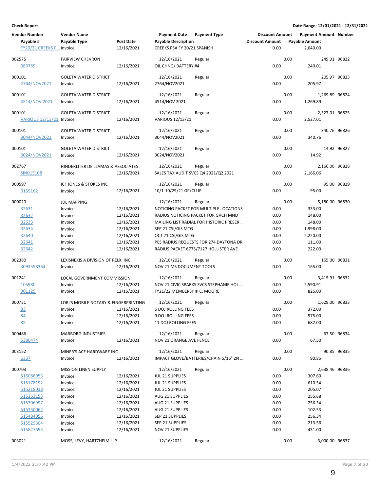| <b>Vendor Number</b><br>Payable #<br>FY20/21 CREEKS P Invoice                                                               | <b>Vendor Name</b><br>Payable Type                                                                                             | <b>Post Date</b><br>12/16/2021                                                                                             | <b>Payment Date</b><br><b>Payable Description</b><br>CREEKS PSA FY 20/21 SPANISH                                                                                                      | <b>Payment Type</b>                                                                                                                                                                                                    | <b>Discount Amount</b><br><b>Discount Amount</b><br>0.00             |      | <b>Payment Amount Number</b><br><b>Payable Amount</b><br>2,640.00                                        |             |
|-----------------------------------------------------------------------------------------------------------------------------|--------------------------------------------------------------------------------------------------------------------------------|----------------------------------------------------------------------------------------------------------------------------|---------------------------------------------------------------------------------------------------------------------------------------------------------------------------------------|------------------------------------------------------------------------------------------------------------------------------------------------------------------------------------------------------------------------|----------------------------------------------------------------------|------|----------------------------------------------------------------------------------------------------------|-------------|
| 002575<br>083769                                                                                                            | <b>FAIRVIEW CHEVRON</b><br>Invoice                                                                                             | 12/16/2021                                                                                                                 | 12/16/2021<br>OIL CHNG/ BATTERY #4                                                                                                                                                    | Regular                                                                                                                                                                                                                | 0.00                                                                 | 0.00 | 249.01 96822<br>249.01                                                                                   |             |
| 000101<br>2764/NOV2021                                                                                                      | <b>GOLETA WATER DISTRICT</b><br>Invoice                                                                                        | 12/16/2021                                                                                                                 | 12/16/2021<br>2764/NOV2021                                                                                                                                                            | Regular                                                                                                                                                                                                                | 0.00                                                                 | 0.00 | 205.97 96823<br>205.97                                                                                   |             |
| 000101<br>4514/NOV 2021                                                                                                     | <b>GOLETA WATER DISTRICT</b><br>Invoice                                                                                        | 12/16/2021                                                                                                                 | 12/16/2021<br>4514/NOV 2021                                                                                                                                                           | Regular                                                                                                                                                                                                                | 0.00                                                                 | 0.00 | 1,269.89 96824<br>1,269.89                                                                               |             |
| 000101<br>VARIOUS 12/13/21 Invoice                                                                                          | <b>GOLETA WATER DISTRICT</b>                                                                                                   | 12/16/2021                                                                                                                 | 12/16/2021<br>VARIOUS 12/13/21                                                                                                                                                        | Regular                                                                                                                                                                                                                | 0.00                                                                 | 0.00 | 2,527.01 96825<br>2,527.01                                                                               |             |
| 000101<br>3044/NOV2021                                                                                                      | <b>GOLETA WATER DISTRICT</b><br>Invoice                                                                                        | 12/16/2021                                                                                                                 | 12/16/2021<br>3044/NOV2021                                                                                                                                                            | Regular                                                                                                                                                                                                                | 0.00                                                                 | 0.00 | 340.76 96826<br>340.76                                                                                   |             |
| 000101<br>3024/NOV2021                                                                                                      | <b>GOLETA WATER DISTRICT</b><br>Invoice                                                                                        | 12/16/2021                                                                                                                 | 12/16/2021<br>3024/NOV2021                                                                                                                                                            | Regular                                                                                                                                                                                                                | 0.00                                                                 | 0.00 | 14.92                                                                                                    | 14.92 96827 |
| 002767<br>SIN013108                                                                                                         | HINDERLITER DE LLAMAS & ASSOCIATES<br>Invoice                                                                                  | 12/16/2021                                                                                                                 | 12/16/2021                                                                                                                                                                            | Regular<br>SALES TAX AUDIT SVCS Q4 2021/Q2 2021                                                                                                                                                                        | 0.00                                                                 | 0.00 | 2,166.06 96828<br>2,166.06                                                                               |             |
| 000597<br>0159162                                                                                                           | ICF JONES & STOKES INC<br>Invoice                                                                                              | 12/16/2021                                                                                                                 | 12/16/2021<br>10/1-10/29/21 GP/CLUP                                                                                                                                                   | Regular                                                                                                                                                                                                                | 0.00                                                                 | 0.00 | 95.00                                                                                                    | 95.00 96829 |
| 000020<br>32631<br>32632<br>32633<br>32634<br>32640<br>32641<br>32642                                                       | <b>JDL MAPPING</b><br>Invoice<br>Invoice<br>Invoice<br>Invoice<br>Invoice<br>Invoice<br>Invoice                                | 12/16/2021<br>12/16/2021<br>12/16/2021<br>12/16/2021<br>12/16/2021<br>12/16/2021<br>12/16/2021                             | 12/16/2021<br>SEP 21 CSI/GIS MTG<br>OCT 21 CSI/GIS MTG                                                                                                                                | Regular<br>NOTICING PACKET FOR MULTIPLE LOCATIONS<br>RADIUS NOTICING PACKET FOR GVCH MND<br>MAILING LIST RADIAL FOR HISTORIC PRESER<br>PES RADIUS REQUESTS FOR 274 DAYTONA DR<br>RADIUS PACKET 6775/7127 HOLLISTER AVE | 0.00<br>0.00<br>0.00<br>0.00<br>0.00<br>0.00<br>0.00                 | 0.00 | 5,180.00 96830<br>333.00<br>148.00<br>148.00<br>1,998.00<br>2,220.00<br>111.00<br>222.00                 |             |
| 002380<br>3093558364                                                                                                        | LEXISNEXIS A DIVISION OF RELX, INC.<br>Invoice                                                                                 | 12/16/2021                                                                                                                 | 12/16/2021<br>NOV 21 MS DOCUMENT TOOLS                                                                                                                                                | Regular                                                                                                                                                                                                                | 0.00                                                                 | 0.00 | 165.00 96831<br>165.00                                                                                   |             |
| 001241<br>105980<br>901125                                                                                                  | LOCAL GOVERNMENT COMMISSION<br>Invoice<br>Invoice                                                                              | 12/16/2021<br>12/16/2021                                                                                                   | 12/16/2021<br>FY21/22 MEMBERSHIP C. MOORE                                                                                                                                             | Regular<br>NOV 21 CIVIC SPARKS SVCS STEPHANIE HOL                                                                                                                                                                      | 0.00<br>0.00                                                         | 0.00 | 3,415.91 96832<br>2,590.91<br>825.00                                                                     |             |
| 000731<br>83<br>84<br>85                                                                                                    | LORI'S MOBILE NOTARY & FINGERPRINTING<br>Invoice<br>Invoice<br>Invoice                                                         | 12/16/2021<br>12/16/2021<br>12/16/2021                                                                                     | 12/16/2021<br>6 DOJ ROLLING FEES<br>9 DOJ ROLLING FEES<br>11 DOJ ROLLING FEES                                                                                                         | Regular                                                                                                                                                                                                                | 0.00<br>0.00<br>0.00                                                 | 0.00 | 1,629.00 96833<br>372.00<br>575.00<br>682.00                                                             |             |
| 000486<br>5380474                                                                                                           | <b>MARBORG INDUSTRIES</b><br>Invoice                                                                                           | 12/16/2021                                                                                                                 | 12/16/2021<br>NOV 21 ORANGE AVE FENCE                                                                                                                                                 | Regular                                                                                                                                                                                                                | 0.00                                                                 | 0.00 | 67.50                                                                                                    | 67.50 96834 |
| 003152<br>6337                                                                                                              | MINER'S ACE HARDWARE INC<br>Invoice                                                                                            | 12/16/2021                                                                                                                 | 12/16/2021                                                                                                                                                                            | Regular<br>IMPACT GLOVE/BATTERIES/CHAIN 5/16" ZN                                                                                                                                                                       | 0.00                                                                 | 0.00 | 90.85                                                                                                    | 90.85 96835 |
| 000703<br>515088953<br>515178192<br>515218038<br>515263153<br>515306997<br>515350062<br>515484056<br>515529304<br>515827653 | <b>MISSION LINEN SUPPLY</b><br>Invoice<br>Invoice<br>Invoice<br>Invoice<br>Invoice<br>Invoice<br>Invoice<br>Invoice<br>Invoice | 12/16/2021<br>12/16/2021<br>12/16/2021<br>12/16/2021<br>12/16/2021<br>12/16/2021<br>12/16/2021<br>12/16/2021<br>12/16/2021 | 12/16/2021<br>JUL 21 SUPPLIES<br>JUL 21 SUPPLIES<br>JUL 21 SUPPLIES<br>AUG 21 SUPPLIES<br>AUG 21 SUPPLIES<br>AUG 21 SUPPLIES<br>SEP 21 SUPPLIES<br>SEP 21 SUPPLIES<br>NOV 21 SUPPLIES | Regular                                                                                                                                                                                                                | 0.00<br>0.00<br>0.00<br>0.00<br>0.00<br>0.00<br>0.00<br>0.00<br>0.00 | 0.00 | 2,638.46 96836<br>307.60<br>610.34<br>205.07<br>255.68<br>256.34<br>102.53<br>256.34<br>213.56<br>431.00 |             |
| 003021                                                                                                                      | MOSS, LEVY, HARTZHEIM LLP                                                                                                      |                                                                                                                            | 12/16/2021                                                                                                                                                                            | Regular                                                                                                                                                                                                                |                                                                      | 0.00 | 3,000.00 96837                                                                                           |             |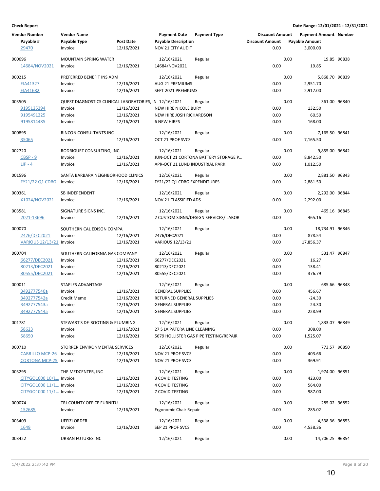| <b>Vendor Number</b><br>Payable # | <b>Vendor Name</b><br>Payable Type                     | Post Date  | <b>Payment Date</b><br><b>Payable Description</b> | <b>Payment Type</b>                    | <b>Discount Amount</b><br><b>Discount Amount</b> |      | <b>Payment Amount Number</b><br><b>Payable Amount</b> |             |
|-----------------------------------|--------------------------------------------------------|------------|---------------------------------------------------|----------------------------------------|--------------------------------------------------|------|-------------------------------------------------------|-------------|
| 29470                             | Invoice                                                | 12/16/2021 | <b>NOV 21 CITY AUDIT</b>                          |                                        | 0.00                                             |      | 3,000.00                                              |             |
| 000696                            | <b>MOUNTAIN SPRING WATER</b>                           |            | 12/16/2021                                        | Regular                                |                                                  | 0.00 |                                                       | 19.85 96838 |
| 14684/NOV2021                     | Invoice                                                | 12/16/2021 | 14684/NOV2021                                     |                                        | 0.00                                             |      | 19.85                                                 |             |
|                                   |                                                        |            |                                                   |                                        |                                                  |      |                                                       |             |
| 000215                            | PREFERRED BENEFIT INS ADM                              |            | 12/16/2021                                        | Regular                                |                                                  | 0.00 | 5,868.70 96839                                        |             |
| EIA41327                          | Invoice                                                | 12/16/2021 | AUG 21 PREMIUMS                                   |                                        | 0.00                                             |      | 2,951.70                                              |             |
| EIA41682                          | Invoice                                                | 12/16/2021 | SEPT 2021 PREMIUMS                                |                                        | 0.00                                             |      | 2,917.00                                              |             |
| 003505                            | QUEST DIAGNOSTICS CLINICAL LABORATORIES, IN 12/16/2021 |            |                                                   | Regular                                |                                                  | 0.00 | 361.00 96840                                          |             |
| 9195125294                        | Invoice                                                | 12/16/2021 | NEW HIRE NICOLE BURY                              |                                        | 0.00                                             |      | 132.50                                                |             |
| 9195491225                        | Invoice                                                | 12/16/2021 | NEW HIRE JOSH RICHARDSON                          |                                        | 0.00                                             |      | 60.50                                                 |             |
| 9195814485                        | Invoice                                                | 12/16/2021 | <b>6 NEW HIRES</b>                                |                                        | 0.00                                             |      | 168.00                                                |             |
|                                   |                                                        |            |                                                   |                                        |                                                  |      |                                                       |             |
| 000895                            | RINCON CONSULTANTS INC                                 |            | 12/16/2021                                        | Regular                                |                                                  | 0.00 | 7,165.50 96841                                        |             |
| 35065                             | Invoice                                                | 12/16/2021 | OCT 21 PROF SVCS                                  |                                        | 0.00                                             |      | 7,165.50                                              |             |
| 002720                            | RODRIGUEZ CONSULTING, INC.                             |            | 12/16/2021                                        | Regular                                |                                                  | 0.00 | 9,855.00 96842                                        |             |
| $CBSP - 9$                        | Invoice                                                | 12/16/2021 |                                                   | JUN-OCT 21 CORTONA BATTERY STORAGE P   | 0.00                                             |      | 8,842.50                                              |             |
| $LIP - 4$                         | Invoice                                                | 12/16/2021 | APR-OCT 21 LUND INDUSTRIAL PARK                   |                                        | 0.00                                             |      | 1,012.50                                              |             |
|                                   |                                                        |            |                                                   |                                        |                                                  |      |                                                       |             |
| 001596                            | SANTA BARBARA NEIGHBORHOOD CLINICS                     |            | 12/16/2021                                        | Regular                                |                                                  | 0.00 | 2,881.50 96843                                        |             |
| <b>FY21/22 Q1 CDBG</b>            | Invoice                                                | 12/16/2021 | FY21/22 Q1 CDBG EXPENDITURES                      |                                        | 0.00                                             |      | 2,881.50                                              |             |
| 000361                            | SB INDEPENDENT                                         |            | 12/16/2021                                        | Regular                                |                                                  | 0.00 | 2,292.00 96844                                        |             |
| X1024/NOV2021                     | Invoice                                                | 12/16/2021 | NOV 21 CLASSIFIED ADS                             |                                        | 0.00                                             |      | 2,292.00                                              |             |
|                                   |                                                        |            |                                                   |                                        |                                                  |      |                                                       |             |
| 003581                            | SIGNATURE SIGNS INC.                                   |            | 12/16/2021                                        | Regular                                |                                                  | 0.00 | 465.16 96845                                          |             |
| 2021-13696                        | Invoice                                                | 12/16/2021 |                                                   | 2 CUSTOM SIGNS/DESIGN SERVICES/ LABOR  | 0.00                                             |      | 465.16                                                |             |
| 000070                            | SOUTHERN CAL EDISON COMPA                              |            | 12/16/2021                                        | Regular                                |                                                  | 0.00 | 18,734.91 96846                                       |             |
| 2476/DEC2021                      | Invoice                                                | 12/16/2021 | 2476/DEC2021                                      |                                        | 0.00                                             |      | 878.54                                                |             |
| VARIOUS 12/13/21 Invoice          |                                                        | 12/16/2021 | VARIOUS 12/13/21                                  |                                        | 0.00                                             |      | 17,856.37                                             |             |
|                                   |                                                        |            |                                                   |                                        |                                                  |      |                                                       |             |
| 000704                            | SOUTHERN CALIFORNIA GAS COMPANY                        |            | 12/16/2021                                        | Regular                                |                                                  | 0.00 | 531.47 96847                                          |             |
| 66277/DEC2021                     | Invoice                                                | 12/16/2021 | 66277/DEC2021                                     |                                        | 0.00                                             |      | 16.27                                                 |             |
| 80213/DEC2021                     | Invoice                                                | 12/16/2021 | 80213/DEC2021                                     |                                        | 0.00                                             |      | 138.41                                                |             |
| 80555/DEC2021                     | Invoice                                                | 12/16/2021 | 80555/DEC2021                                     |                                        | 0.00                                             |      | 376.79                                                |             |
| 000011                            | <b>STAPLES ADVANTAGE</b>                               |            | 12/16/2021                                        | Regular                                |                                                  | 0.00 | 685.66 96848                                          |             |
| 3492777540a                       | Invoice                                                | 12/16/2021 | <b>GENERAL SUPPLIES</b>                           |                                        | 0.00                                             |      | 456.67                                                |             |
| 3492777542a                       | Credit Memo                                            | 12/16/2021 | RETURNED GENERAL SUPPLIES                         |                                        | 0.00                                             |      | $-24.30$                                              |             |
| 3492777543a                       | Invoice                                                | 12/16/2021 | <b>GENERAL SUPPLIES</b>                           |                                        | 0.00                                             |      | 24.30                                                 |             |
| 3492777544a                       | Invoice                                                | 12/16/2021 | <b>GENERAL SUPPLIES</b>                           |                                        | 0.00                                             |      | 228.99                                                |             |
| 001781                            | STEWART'S DE-ROOTING & PLUMBING                        |            | 12/16/2021                                        |                                        |                                                  | 0.00 | 1,833.07 96849                                        |             |
| 58623                             | Invoice                                                | 12/16/2021 | 27 S LA PATERA LINE CLEANING                      | Regular                                | 0.00                                             |      | 308.00                                                |             |
| 58650                             | Invoice                                                | 12/16/2021 |                                                   | 5679 HOLLISTER GAS PIPE TESTING/REPAIR | 0.00                                             |      | 1,525.07                                              |             |
|                                   |                                                        |            |                                                   |                                        |                                                  |      |                                                       |             |
| 000710                            | STORRER ENVIRONMENTAL SERVICES                         |            | 12/16/2021                                        | Regular                                |                                                  | 0.00 | 773.57 96850                                          |             |
| <b>CABRILLO MCP-26 Invoice</b>    |                                                        | 12/16/2021 | NOV 21 PROF SVCS                                  |                                        | 0.00                                             |      | 403.66                                                |             |
| <b>CORTONA MCP-25 Invoice</b>     |                                                        | 12/16/2021 | <b>NOV 21 PROF SVCS</b>                           |                                        | 0.00                                             |      | 369.91                                                |             |
| 003295                            | THE MEDCENTER, INC                                     |            | 12/16/2021                                        | Regular                                |                                                  | 0.00 | 1,974.00 96851                                        |             |
| CITYGO1000 10/1 Invoice           |                                                        | 12/16/2021 | 3 COVID TESTING                                   |                                        | 0.00                                             |      | 423.00                                                |             |
| CITYGO1000 11/1 Invoice           |                                                        | 12/16/2021 | <b>4 COVID TESTING</b>                            |                                        | 0.00                                             |      | 564.00                                                |             |
| CITYGO1000 11/1 Invoice           |                                                        | 12/16/2021 | 7 COVID TESTING                                   |                                        | 0.00                                             |      | 987.00                                                |             |
|                                   |                                                        |            |                                                   |                                        |                                                  |      |                                                       |             |
| 000074                            | TRI-COUNTY OFFICE FURNITU                              |            | 12/16/2021                                        | Regular                                |                                                  | 0.00 | 285.02 96852                                          |             |
| 152685                            | Invoice                                                | 12/16/2021 | Ergonomic Chair Repair                            |                                        | 0.00                                             |      | 285.02                                                |             |
| 003409                            | <b>UFFIZI ORDER</b>                                    |            | 12/16/2021                                        | Regular                                |                                                  | 0.00 | 4,538.36 96853                                        |             |
| 1649                              | Invoice                                                | 12/16/2021 | SEP 21 PROF SVCS                                  |                                        | 0.00                                             |      | 4,538.36                                              |             |
|                                   |                                                        |            |                                                   |                                        |                                                  |      |                                                       |             |
| 003422                            | URBAN FUTURES INC                                      |            | 12/16/2021                                        | Regular                                |                                                  | 0.00 | 14,706.25 96854                                       |             |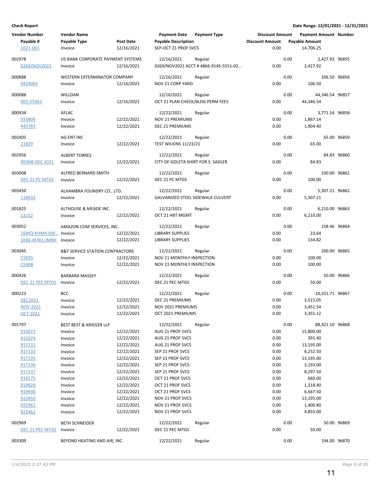| <b>Vendor Number</b> | <b>Vendor Name</b>                         |                  | <b>Payment Date</b>                | <b>Payment Type</b>                  | <b>Discount Amount</b> |      | <b>Payment Amount Number</b> |             |
|----------------------|--------------------------------------------|------------------|------------------------------------|--------------------------------------|------------------------|------|------------------------------|-------------|
| Payable #            | Payable Type                               | <b>Post Date</b> | <b>Payable Description</b>         |                                      | <b>Discount Amount</b> |      | <b>Payable Amount</b>        |             |
| 1021-001             | Invoice                                    | 12/16/2021       | SEP-OCT 21 PROF SVCS               |                                      | 0.00                   |      | 14,706.25                    |             |
|                      |                                            |                  |                                    |                                      |                        |      |                              |             |
| 002978               | US BANK CORPORATE PAYMENT SYSTEMS          |                  | 12/16/2021                         | Regular                              |                        | 0.00 | 2,427.92 96855               |             |
| 0269/NOV2021         | Invoice                                    | 12/16/2021       |                                    | 0269/NOV2021 ACCT #4866-9145-5551-02 | 0.00                   |      | 2,427.92                     |             |
| 000888               | WESTERN EXTERMINATOR COMPANY               |                  | 12/16/2021                         | Regular                              |                        | 0.00 | 106.50 96856                 |             |
| 9424065              | Invoice                                    | 12/16/2021       | NOV 21 CORP YARD                   |                                      | 0.00                   |      | 106.50                       |             |
|                      |                                            |                  |                                    |                                      |                        |      |                              |             |
| 000088               | WILLDAN                                    |                  | 12/16/2021                         | Regular                              |                        | 0.00 | 44,346.54 96857              |             |
| 002-25563            | Invoice                                    | 12/16/2021       | OCT 21 PLAN CHECK/BLDG PERM FEES   |                                      | 0.00                   |      | 44,346.54                    |             |
|                      |                                            |                  |                                    |                                      |                        |      |                              |             |
| 000934               | AFLAC                                      |                  | 12/22/2021                         | Regular                              |                        | 0.00 | 3,771.54 96858               |             |
| 055809               | Invoice                                    | 12/22/2021       | <b>NOV 21 PREMIUMS</b>             |                                      | 0.00                   |      | 1,867.14                     |             |
| 443783               | Invoice                                    | 12/22/2021       | DEC 21 PREMIUMS                    |                                      | 0.00                   |      | 1,904.40                     |             |
| 002405               | AG ENT INC                                 |                  | 12/22/2021                         | Regular                              |                        | 0.00 |                              | 65.00 96859 |
| 21829                | Invoice                                    | 12/22/2021       | TEST WILKINS 11/23/21              |                                      | 0.00                   |      | 65.00                        |             |
|                      |                                            |                  |                                    |                                      |                        |      |                              |             |
| 002956               | <b>ALBERT TORRES</b>                       |                  | 12/22/2021                         | Regular                              |                        | 0.00 |                              | 84.83 96860 |
| REIMB DEC 2021       | Invoice                                    | 12/22/2021       | CITY OF GOLETA SHIRT FOR S. SADLER |                                      | 0.00                   |      | 84.83                        |             |
|                      |                                            |                  |                                    |                                      |                        |      |                              |             |
| 003008               | ALFRED BERNARD SMITH                       |                  | 12/22/2021                         | Regular                              |                        | 0.00 | 100.00 96861                 |             |
| DEC 21 PC MTGS       | Invoice                                    | 12/22/2021       | DEC 21 PC MTGS                     |                                      | 0.00                   |      | 100.00                       |             |
| 003450               | ALHAMBRA FOUNDRY CO., LTD.                 |                  | 12/22/2021                         | Regular                              |                        | 0.00 | 5,307.21 96862               |             |
|                      |                                            | 12/22/2021       | GALVANIZED STEEL SIDEWALK CULVERT  |                                      | 0.00                   |      | 5,307.21                     |             |
| 118632               | Invoice                                    |                  |                                    |                                      |                        |      |                              |             |
| 001825               | ALTHOUSE & MEADE INC.                      |                  | 12/22/2021                         | Regular                              |                        | 0.00 | 6,210.00 96863               |             |
| 13152                | Invoice                                    | 12/22/2021       | OCT 21 HBT MGMT                    |                                      | 0.00                   |      | 6,210.00                     |             |
|                      |                                            |                  |                                    |                                      |                        |      |                              |             |
| 003052               | AMAZON.COM SERVICES, INC.                  |                  | 12/22/2021                         | Regular                              |                        | 0.00 | 158.46 96864                 |             |
| 16WQ-KHM4-6W         | Invoice                                    | 12/22/2021       | LIBRARY SUPPLIES                   |                                      | 0.00                   |      | 23.64                        |             |
| 1K6X-XFW1-JM9H       | Invoice                                    | 12/22/2021       | <b>LIBRARY SUPPLIES</b>            |                                      | 0.00                   |      | 134.82                       |             |
|                      |                                            |                  |                                    |                                      |                        | 0.00 |                              |             |
| 003045               | <b>B&amp;T SERVICE STATION CONTRACTORS</b> |                  | 12/22/2021                         | Regular                              |                        |      | 200.00 96865                 |             |
| C5835                | Invoice                                    | 12/22/2021       | NOV 21 MONTHLY INSPECTION          |                                      | 0.00                   |      | 100.00                       |             |
| C5908                | Invoice                                    | 12/22/2021       | NOV 21 MONTHLY INSPECTION          |                                      | 0.00                   |      | 100.00                       |             |
| 000426               | <b>BARBARA MASSEY</b>                      |                  | 12/22/2021                         | Regular                              |                        | 0.00 |                              | 50.00 96866 |
| DEC 21 PEC MTGS      | Invoice                                    | 12/22/2021       | DEC 21 PEC MTGS                    |                                      | 0.00                   |      | 50.00                        |             |
|                      |                                            |                  |                                    |                                      |                        |      |                              |             |
| 000223               | <b>BCC</b>                                 |                  | 12/22/2021                         | Regular                              |                        | 0.00 | 10,321.71 96867              |             |
| <b>DEC2021</b>       | Invoice                                    | 12/22/2021       | DEC 21 PREMIUMS                    |                                      | 0.00                   |      | 3,515.05                     |             |
| <b>NOV 2021</b>      | Invoice                                    | 12/22/2021       | NOV 2021 PREMIUMS                  |                                      | 0.00                   |      | 3,451.54                     |             |
| <u>OCT 2021</u>      | Invoice                                    | 12/22/2021       | OCT 2021 PREMIUMS                  |                                      | 0.00                   |      | 3,355.12                     |             |
|                      |                                            |                  |                                    |                                      |                        |      |                              |             |
| 001797               | <b>BEST BEST &amp; KRIEGER LLP</b>         |                  | 12/22/2021                         | Regular                              |                        | 0.00 | 88,421.10 96868              |             |
| 915073               | Invoice                                    | 12/22/2021       | AUG 21 PROF SVCS                   |                                      | 0.00                   |      | 15,800.00                    |             |
| 915074               | Invoice                                    | 12/22/2021       | AUG 21 PROF SVCS                   |                                      | 0.00                   |      | 391.40                       |             |
| 915131               | Invoice                                    | 12/22/2021       | AUG 21 PROF SVCS                   |                                      | 0.00                   |      | 13,195.00                    |             |
| 917133               | Invoice                                    | 12/22/2021       | SEP 21 PROF SVCS                   |                                      | 0.00                   |      | 6,252.50                     |             |
| 917135               | Invoice                                    | 12/22/2021       | SEP 21 PROF SVCS                   |                                      | 0.00                   |      | 13,195.00                    |             |
| 917136               | Invoice                                    | 12/22/2021       | SEP 21 PROF SVCS                   |                                      | 0.00                   |      | 3,193.00                     |             |
| 917137               | Invoice                                    | 12/22/2021       | SEP 21 PROF SVCS                   |                                      | 0.00                   |      | 8,297.50                     |             |
| 918175               | Invoice                                    | 12/22/2021       | OCT 21 PROF SVCS                   |                                      | 0.00                   |      | 660.00                       |             |
| 919929               | Invoice                                    | 12/22/2021       | OCT 21 PROF SVCS                   |                                      | 0.00                   |      | 1,318.40                     |             |
| 919930               | Invoice                                    | 12/22/2021       | OCT 21 PROF SVCS                   |                                      | 0.00                   |      | 6,667.50                     |             |
| 922459               | Invoice                                    | 12/22/2021       | NOV 21 PROF SVCS                   |                                      | 0.00                   |      | 13,195.00                    |             |
| 922461               | Invoice                                    | 12/22/2021       | NOV 21 PROF SVCS                   |                                      | 0.00                   |      | 1,400.80                     |             |
| 922462               | Invoice                                    | 12/22/2021       | NOV 21 PROF SVCS                   |                                      | 0.00                   |      | 4,855.00                     |             |
| 002969               | <b>BETH SCHNEIDER</b>                      |                  | 12/22/2021                         | Regular                              |                        | 0.00 |                              | 50.00 96869 |
| DEC 21 PEC MTGS      | Invoice                                    | 12/22/2021       | DEC 21 PEC MTGS                    |                                      | 0.00                   |      | 50.00                        |             |
|                      |                                            |                  |                                    |                                      |                        |      |                              |             |
| 003309               | BEYOND HEATING AND AIR, INC.               |                  | 12/22/2021                         | Regular                              |                        | 0.00 | 194.00 96870                 |             |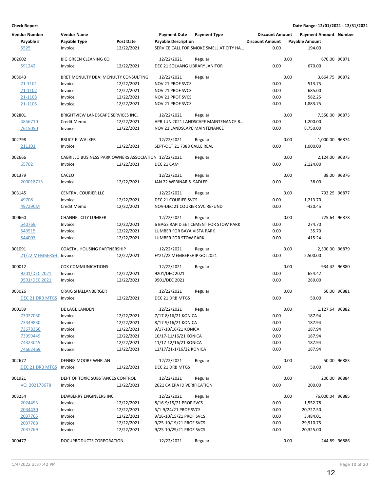| <b>Vendor Number</b><br>Payable #<br>5525 | <b>Vendor Name</b><br>Payable Type<br>Invoice        | <b>Post Date</b><br>12/22/2021 | <b>Payment Date</b><br><b>Payable Description</b> | <b>Payment Type</b><br>SERVICE CALL FOR SMOKE SMELL AT CITY HA | <b>Discount Amount</b><br><b>Discount Amount</b><br>0.00 |      | <b>Payment Amount Number</b><br><b>Payable Amount</b><br>194.00 |             |
|-------------------------------------------|------------------------------------------------------|--------------------------------|---------------------------------------------------|----------------------------------------------------------------|----------------------------------------------------------|------|-----------------------------------------------------------------|-------------|
|                                           |                                                      |                                |                                                   |                                                                |                                                          |      |                                                                 |             |
| 002602<br>591242                          | <b>BIG GREEN CLEANING CO</b><br>Invoice              | 12/22/2021                     | 12/22/2021<br>DEC 21 SOLVANG LIBRARY JANITOR      | Regular                                                        | 0.00                                                     | 0.00 | 670.00 96871<br>670.00                                          |             |
|                                           |                                                      |                                |                                                   |                                                                |                                                          |      |                                                                 |             |
| 003043                                    | BRET MCNULTY DBA: MCNULTY CONSULTING                 |                                | 12/22/2021                                        | Regular                                                        |                                                          | 0.00 | 3,664.75 96872                                                  |             |
| 21-1101                                   | Invoice                                              | 12/22/2021                     | <b>NOV 21 PROF SVCS</b>                           |                                                                | 0.00                                                     |      | 513.75                                                          |             |
| 21-1102                                   | Invoice                                              | 12/22/2021                     | NOV 21 PROF SVCS                                  |                                                                | 0.00                                                     |      | 685.00                                                          |             |
| 21-1103                                   | Invoice                                              | 12/22/2021                     | NOV 21 PROF SVCS                                  |                                                                | 0.00                                                     |      | 582.25                                                          |             |
| 21-1105                                   | Invoice                                              | 12/22/2021                     | NOV 21 PROF SVCS                                  |                                                                | 0.00                                                     |      | 1,883.75                                                        |             |
| 002801                                    | BRIGHTVIEW LANDSCAPE SERVICES INC.                   |                                | 12/22/2021                                        | Regular                                                        |                                                          | 0.00 | 7,550.00 96873                                                  |             |
| 4856710                                   | Credit Memo                                          | 12/22/2021                     |                                                   | APR-JUN 2021 LANDSCAPE MAINTENANCE R                           | 0.00                                                     |      | $-1,200.00$                                                     |             |
| 7615050                                   | Invoice                                              | 12/22/2021                     | NOV 21 LANDSCAPE MAINTENANCE                      |                                                                | 0.00                                                     |      | 8,750.00                                                        |             |
| 002798                                    | <b>BRUCE E. WALKER</b>                               |                                | 12/22/2021                                        | Regular                                                        |                                                          | 0.00 | 1,000.00 96874                                                  |             |
| 211101                                    | Invoice                                              | 12/22/2021                     | SEPT-OCT 21 7388 CALLE REAL                       |                                                                | 0.00                                                     |      | 1,000.00                                                        |             |
| 002666                                    | CABRILLO BUSINESS PARK OWNERS ASSOCIATION 12/22/2021 |                                |                                                   | Regular                                                        |                                                          | 0.00 | 2,124.00 96875                                                  |             |
| 65702                                     | Invoice                                              | 12/22/2021                     | DEC 21 CAM                                        |                                                                | 0.00                                                     |      | 2,124.00                                                        |             |
|                                           |                                                      |                                |                                                   |                                                                |                                                          |      |                                                                 |             |
| 001379                                    | CACEO                                                |                                | 12/22/2021                                        | Regular                                                        |                                                          | 0.00 |                                                                 | 38.00 96876 |
| 200018713                                 | Invoice                                              | 12/22/2021                     | JAN 22 WEBINAR S. SADLER                          |                                                                | 0.00                                                     |      | 38.00                                                           |             |
| 003145                                    | <b>CENTRAL COURIER LLC</b>                           |                                | 12/22/2021                                        | Regular                                                        |                                                          | 0.00 | 793.25 96877                                                    |             |
| 49708                                     | Invoice                                              | 12/22/2021                     | DEC 21 COURIER SVCS                               |                                                                | 0.00                                                     |      | 1,213.70                                                        |             |
| 49729CM                                   | Credit Memo                                          | 12/22/2021                     | NOV-DEC 21 COURIER SVC REFUND                     |                                                                | 0.00                                                     |      | $-420.45$                                                       |             |
| 000660                                    | <b>CHANNEL CITY LUMBER</b>                           |                                | 12/22/2021                                        | Regular                                                        |                                                          | 0.00 | 725.64 96878                                                    |             |
| 540769                                    | Invoice                                              | 12/22/2021                     |                                                   | 6 BAGS RAPID SET CEMENT FOR STOW PARK                          | 0.00                                                     |      | 274.70                                                          |             |
| 543515                                    | Invoice                                              | 12/22/2021                     | LUMBER FOR BAYA VISTA PARK                        |                                                                | 0.00                                                     |      | 35.70                                                           |             |
| 544007                                    | Invoice                                              | 12/22/2021                     | LUMBER FOR STOW PARK                              |                                                                | 0.00                                                     |      | 415.24                                                          |             |
| 001091                                    | COASTAL HOUSING PARTNERSHIP                          |                                | 12/22/2021                                        | Regular                                                        |                                                          | 0.00 | 2,500.00 96879                                                  |             |
| 21/22 MEMBERSHInvoice                     |                                                      | 12/22/2021                     | FY21/22 MEMBERSHIP GOL2021                        |                                                                | 0.00                                                     |      | 2,500.00                                                        |             |
| 000012                                    | <b>COX COMMUNICATIONS</b>                            |                                | 12/22/2021                                        | Regular                                                        |                                                          | 0.00 | 934.42 96880                                                    |             |
| 9201/DEC 2021                             | Invoice                                              | 12/22/2021                     | 9201/DEC 2021                                     |                                                                | 0.00                                                     |      | 654.42                                                          |             |
| 9501/DEC 2021                             | Invoice                                              | 12/22/2021                     | 9501/DEC 2021                                     |                                                                | 0.00                                                     |      | 280.00                                                          |             |
|                                           |                                                      |                                |                                                   |                                                                |                                                          |      |                                                                 |             |
| 003026                                    | <b>CRAIG SHALLANBERGER</b>                           |                                | 12/22/2021                                        | Regular                                                        |                                                          | 0.00 |                                                                 | 50.00 96881 |
| DEC 21 DRB MTGS Invoice                   |                                                      | 12/22/2021                     | DEC 21 DRB MTGS                                   |                                                                | 0.00                                                     |      | 50.00                                                           |             |
| 000189                                    | DE LAGE LANDEN                                       |                                | 12/22/2021                                        | Regular                                                        |                                                          | 0.00 | 1,127.64 96882                                                  |             |
| 73027030                                  | Invoice                                              | 12/22/2021                     | 7/17-8/16/21 KONICA                               |                                                                | 0.00                                                     |      | 187.94                                                          |             |
| 73349830                                  | Invoice                                              | 12/22/2021                     | 8/17-9/16/21 KONICA                               |                                                                | 0.00                                                     |      | 187.94                                                          |             |
| 73678366                                  | Invoice                                              | 12/22/2021                     | 9/17-10/16/21 KONICA                              |                                                                | 0.00                                                     |      | 187.94                                                          |             |
| 73999449                                  | Invoice                                              | 12/22/2021                     | 10/17-11/16/21 KONICA                             |                                                                | 0.00                                                     |      | 187.94                                                          |             |
| 74323045                                  | Invoice                                              | 12/22/2021                     | 11/17-12/16/21 KONICA                             |                                                                | 0.00                                                     |      | 187.94                                                          |             |
| 74662469                                  | Invoice                                              | 12/22/2021                     | 12/17/21-1/16/22 KONICA                           |                                                                | 0.00                                                     |      | 187.94                                                          |             |
| 002677                                    | DENNIS MOORE WHELAN                                  |                                | 12/22/2021                                        | Regular                                                        |                                                          | 0.00 |                                                                 | 50.00 96883 |
| DEC 21 DRB MTGS Invoice                   |                                                      | 12/22/2021                     | DEC 21 DRB MTGS                                   |                                                                | 0.00                                                     |      | 50.00                                                           |             |
| 001921                                    | DEPT OF TOXIC SUBSTANCES CONTROL                     |                                | 12/22/2021                                        | Regular                                                        |                                                          | 0.00 | 200.00 96884                                                    |             |
| VQ 202178678                              | Invoice                                              | 12/22/2021                     | 2021 CA EPA ID VERIFICATION                       |                                                                | 0.00                                                     |      | 200.00                                                          |             |
| 003254                                    | DEWBERRY ENGINEERS INC.                              |                                | 12/22/2021                                        | Regular                                                        |                                                          | 0.00 | 76,000.04 96885                                                 |             |
| 2024493                                   | Invoice                                              | 12/22/2021                     | 8/16-9/15/21 PROF SVCS                            |                                                                | 0.00                                                     |      | 1,552.78                                                        |             |
| 2034430                                   | Invoice                                              | 12/22/2021                     | 5/1-9/24/21 PROF SVCS                             |                                                                | 0.00                                                     |      | 20,727.50                                                       |             |
| 2037765                                   | Invoice                                              | 12/22/2021                     | 9/16-10/15/21 PROF SVCS                           |                                                                | 0.00                                                     |      | 3,484.01                                                        |             |
| 2037768                                   | Invoice                                              | 12/22/2021                     | 9/25-10/19/21 PROF SVCS                           |                                                                | 0.00                                                     |      | 29,910.75                                                       |             |
| 2037769                                   | Invoice                                              | 12/22/2021                     | 9/25-10/29/21 PROF SVCS                           |                                                                | 0.00                                                     |      | 20,325.00                                                       |             |
| 000477                                    | DOCUPRODUCTS CORPORATION                             |                                | 12/22/2021                                        | Regular                                                        |                                                          | 0.00 | 244.89 96886                                                    |             |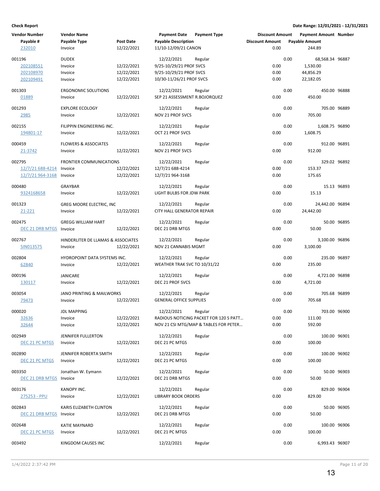| <b>Vendor Number</b>    | <b>Vendor Name</b>                   |                  | <b>Payment Date</b>            | <b>Payment Type</b>                    | <b>Discount Amount</b> |      | Payment Amount Number |             |
|-------------------------|--------------------------------------|------------------|--------------------------------|----------------------------------------|------------------------|------|-----------------------|-------------|
| Payable #               | Payable Type                         | <b>Post Date</b> | <b>Payable Description</b>     |                                        | <b>Discount Amount</b> |      | <b>Payable Amount</b> |             |
| 232010                  | Invoice                              | 12/22/2021       | 11/10-12/09/21 CANON           |                                        | 0.00                   |      | 244.89                |             |
|                         |                                      |                  |                                |                                        |                        |      |                       |             |
| 001196                  | <b>DUDEK</b>                         |                  | 12/22/2021                     | Regular                                |                        | 0.00 | 68,568.34 96887       |             |
| 202108551               | Invoice                              | 12/22/2021       | 9/25-10/29/21 PROF SVCS        |                                        | 0.00                   |      | 1,530.00              |             |
| 202108970               | Invoice                              | 12/22/2021       | 9/25-10/29/21 PROF SVCS        |                                        | 0.00                   |      | 44,856.29             |             |
| 202109491               | Invoice                              | 12/22/2021       | 10/30-11/26/21 PROF SVCS       |                                        | 0.00                   |      | 22,182.05             |             |
|                         |                                      |                  |                                |                                        |                        |      |                       |             |
| 001303                  | <b>ERGONOMIC SOLUTIONS</b>           |                  | 12/22/2021                     | Regular                                |                        | 0.00 | 450.00 96888          |             |
| 01889                   | Invoice                              | 12/22/2021       | SEP 21 ASSESSMENT R.BOJORQUEZ  |                                        | 0.00                   |      | 450.00                |             |
| 001293                  | <b>EXPLORE ECOLOGY</b>               |                  | 12/22/2021                     | Regular                                |                        | 0.00 | 705.00 96889          |             |
|                         |                                      | 12/22/2021       | NOV 21 PROF SVCS               |                                        | 0.00                   |      | 705.00                |             |
| <u> 2985</u>            | Invoice                              |                  |                                |                                        |                        |      |                       |             |
| 002155                  | FILIPPIN ENGINEERING INC.            |                  | 12/22/2021                     | Regular                                |                        | 0.00 | 1,608.75 96890        |             |
| 194801-17               | Invoice                              | 12/22/2021       | OCT 21 PROF SVCS               |                                        | 0.00                   |      | 1,608.75              |             |
|                         |                                      |                  |                                |                                        |                        |      |                       |             |
| 000459                  | <b>FLOWERS &amp; ASSOCIATES</b>      |                  | 12/22/2021                     | Regular                                |                        | 0.00 | 912.00 96891          |             |
| 21-3742                 | Invoice                              | 12/22/2021       | NOV 21 PROF SVCS               |                                        | 0.00                   |      | 912.00                |             |
|                         |                                      |                  |                                |                                        |                        |      |                       |             |
| 002795                  | <b>FRONTIER COMMUNICATIONS</b>       |                  | 12/22/2021                     | Regular                                |                        | 0.00 | 329.02 96892          |             |
| 12/7/21 688-4214        | Invoice                              | 12/22/2021       | 12/7/21 688-4214               |                                        | 0.00                   |      | 153.37                |             |
| 12/7/21 964-3168        | Invoice                              | 12/22/2021       | 12/7/21 964-3168               |                                        | 0.00                   |      | 175.65                |             |
|                         |                                      |                  |                                |                                        |                        |      |                       |             |
| 000480                  | GRAYBAR                              |                  | 12/22/2021                     | Regular                                |                        | 0.00 |                       | 15.13 96893 |
| 9324168658              | Invoice                              | 12/22/2021       | LIGHT BULBS FOR JDW PARK       |                                        | 0.00                   |      | 15.13                 |             |
|                         |                                      |                  |                                |                                        |                        |      |                       |             |
| 001323                  | GREG MOORE ELECTRIC, INC             |                  | 12/22/2021                     | Regular                                |                        | 0.00 | 24,442.00 96894       |             |
| 21-221                  | Invoice                              | 12/22/2021       | CITY HALL GENERATOR REPAIR     |                                        | 0.00                   |      | 24,442.00             |             |
| 002475                  | <b>GREGG WILLIAM HART</b>            |                  | 12/22/2021                     | Regular                                |                        | 0.00 |                       | 50.00 96895 |
|                         |                                      |                  |                                |                                        | 0.00                   |      |                       |             |
| DEC 21 DRB MTGS Invoice |                                      | 12/22/2021       | DEC 21 DRB MTGS                |                                        |                        |      | 50.00                 |             |
| 002767                  | HINDERLITER DE LLAMAS & ASSOCIATES   |                  | 12/22/2021                     | Regular                                |                        | 0.00 | 3,100.00 96896        |             |
| SIN013575               | Invoice                              | 12/22/2021       | NOV 21 CANNABIS MGMT           |                                        | 0.00                   |      | 3,100.00              |             |
|                         |                                      |                  |                                |                                        |                        |      |                       |             |
| 002804                  | HYDROPOINT DATA SYSTEMS INC.         |                  | 12/22/2021                     | Regular                                |                        | 0.00 | 235.00 96897          |             |
| 62840                   | Invoice                              | 12/22/2021       | WEATHER TRAK SVC TO 10/31/22   |                                        | 0.00                   |      | 235.00                |             |
|                         |                                      |                  |                                |                                        |                        |      |                       |             |
| 000196                  | JANICARE                             |                  | 12/22/2021                     | Regular                                |                        | 0.00 | 4,721.00 96898        |             |
| 130117                  | Invoice                              | 12/22/2021       | DEC 21 PROF SVCS               |                                        | 0.00                   |      | 4,721.00              |             |
|                         |                                      |                  |                                |                                        |                        |      |                       |             |
| 003054                  | <b>JANO PRINTING &amp; MAILWORKS</b> |                  | 12/22/2021                     | Regular                                |                        | 0.00 | 705.68 96899          |             |
| 79473                   | Invoice                              | 12/22/2021       | <b>GENERAL OFFICE SUPPLIES</b> |                                        | 0.00                   |      | 705.68                |             |
|                         |                                      |                  |                                |                                        |                        |      |                       |             |
| 000020                  | <b>JDL MAPPING</b>                   |                  | 12/22/2021                     | Regular                                |                        | 0.00 | 703.00 96900          |             |
| 32636                   | Invoice                              | 12/22/2021       |                                | RADIOUS NOTICING PACKET FOR 120 S PATT | 0.00                   |      | 111.00                |             |
| 32644                   | Invoice                              | 12/22/2021       |                                | NOV 21 CSI MTG/MAP & TABLES FOR PETER  | 0.00                   |      | 592.00                |             |
| 002949                  | JENNIFER FULLERTON                   |                  | 12/22/2021                     | Regular                                |                        | 0.00 | 100.00 96901          |             |
|                         |                                      |                  |                                |                                        |                        |      |                       |             |
| DEC 21 PC MTGS          | Invoice                              | 12/22/2021       | DEC 21 PC MTGS                 |                                        | 0.00                   |      | 100.00                |             |
| 002890                  | JENNIFER ROBERTA SMITH               |                  | 12/22/2021                     | Regular                                |                        | 0.00 | 100.00 96902          |             |
| DEC 21 PC MTGS          | Invoice                              | 12/22/2021       | DEC 21 PC MTGS                 |                                        | 0.00                   |      | 100.00                |             |
|                         |                                      |                  |                                |                                        |                        |      |                       |             |
| 003350                  | Jonathan W. Eymann                   |                  | 12/22/2021                     | Regular                                |                        | 0.00 |                       | 50.00 96903 |
| DEC 21 DRB MTGS         | Invoice                              | 12/22/2021       | DEC 21 DRB MTGS                |                                        | 0.00                   |      | 50.00                 |             |
|                         |                                      |                  |                                |                                        |                        |      |                       |             |
| 003176                  | KANOPY INC.                          |                  | 12/22/2021                     | Regular                                |                        | 0.00 | 829.00 96904          |             |
| 275253 - PPU            | Invoice                              | 12/22/2021       | <b>LIBRARY BOOK ORDERS</b>     |                                        | 0.00                   |      | 829.00                |             |
|                         |                                      |                  |                                |                                        |                        |      |                       |             |
| 002843                  | KARIS ELIZABETH CLINTON              |                  | 12/22/2021                     | Regular                                |                        | 0.00 |                       | 50.00 96905 |
| DEC 21 DRB MTGS Invoice |                                      | 12/22/2021       | DEC 21 DRB MTGS                |                                        | 0.00                   |      | 50.00                 |             |
|                         |                                      |                  |                                |                                        |                        |      |                       |             |
| 002648                  | <b>KATIE MAYNARD</b>                 |                  | 12/22/2021                     | Regular                                |                        | 0.00 | 100.00 96906          |             |
| DEC 21 PC MTGS          | Invoice                              | 12/22/2021       | DEC 21 PC MTGS                 |                                        | 0.00                   |      | 100.00                |             |
| 003492                  | KINGDOM CAUSES INC                   |                  | 12/22/2021                     | Regular                                |                        | 0.00 | 6,993.43 96907        |             |
|                         |                                      |                  |                                |                                        |                        |      |                       |             |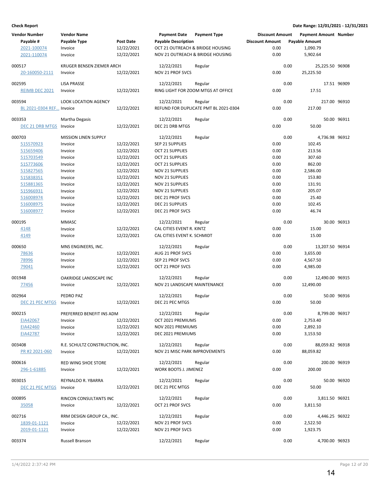| <b>Vendor Number</b><br>Payable # | <b>Vendor Name</b><br>Payable Type | <b>Post Date</b> | <b>Payment Date</b><br><b>Payable Description</b> | <b>Payment Type</b>                   | <b>Discount Amount</b><br><b>Discount Amount</b> |      | <b>Payment Amount Number</b><br><b>Payable Amount</b> |             |
|-----------------------------------|------------------------------------|------------------|---------------------------------------------------|---------------------------------------|--------------------------------------------------|------|-------------------------------------------------------|-------------|
|                                   |                                    | 12/22/2021       |                                                   | OCT 21 OUTREACH & BRIDGE HOUSING      | 0.00                                             |      | 1,090.79                                              |             |
| 2021-100074<br>2021-110074        | Invoice<br>Invoice                 | 12/22/2021       |                                                   | NOV 21 OUTREACH & BRIDGE HOUSING      | 0.00                                             |      | 5,902.64                                              |             |
|                                   |                                    |                  |                                                   |                                       |                                                  |      |                                                       |             |
| 000517                            | KRUGER BENSEN ZIEMER ARCH          |                  | 12/22/2021                                        | Regular                               |                                                  | 0.00 | 25,225.50 96908                                       |             |
| 20-160050-2111                    | Invoice                            | 12/22/2021       | NOV 21 PROF SVCS                                  |                                       | 0.00                                             |      | 25,225.50                                             |             |
|                                   |                                    |                  |                                                   |                                       |                                                  |      |                                                       |             |
| 002595                            | <b>LISA PRASSE</b>                 |                  | 12/22/2021                                        | Regular                               |                                                  | 0.00 |                                                       | 17.51 96909 |
| REIMB DEC 2021                    | Invoice                            | 12/22/2021       |                                                   | RING LIGHT FOR ZOOM MTGS AT OFFICE    | 0.00                                             |      | 17.51                                                 |             |
| 003594                            | LOOK LOCATION AGENCY               |                  | 12/22/2021                                        | Regular                               |                                                  | 0.00 | 217.00 96910                                          |             |
| BL 2021-0304 REF Invoice          |                                    | 12/22/2021       |                                                   | REFUND FOR DUPLICATE PMT BL 2021-0304 | 0.00                                             |      | 217.00                                                |             |
|                                   |                                    |                  |                                                   |                                       |                                                  |      |                                                       |             |
| 003353                            | Martha Degasis                     |                  | 12/22/2021                                        | Regular                               |                                                  | 0.00 |                                                       | 50.00 96911 |
| <b>DEC 21 DRB MTGS</b>            | Invoice                            | 12/22/2021       | DEC 21 DRB MTGS                                   |                                       | 0.00                                             |      | 50.00                                                 |             |
| 000703                            | <b>MISSION LINEN SUPPLY</b>        |                  | 12/22/2021                                        | Regular                               |                                                  | 0.00 | 4,736.98 96912                                        |             |
| 515570923                         | Invoice                            | 12/22/2021       | SEP 21 SUPPLIES                                   |                                       | 0.00                                             |      | 102.45                                                |             |
| 515659406                         | Invoice                            | 12/22/2021       | <b>OCT 21 SUPPLIES</b>                            |                                       | 0.00                                             |      | 213.56                                                |             |
| 515703549                         | Invoice                            | 12/22/2021       | <b>OCT 21 SUPPLIES</b>                            |                                       | 0.00                                             |      | 307.60                                                |             |
| 515773606                         | Invoice                            | 12/22/2021       | <b>OCT 21 SUPPLIES</b>                            |                                       | 0.00                                             |      | 862.00                                                |             |
| 515827565                         | Invoice                            | 12/22/2021       | <b>NOV 21 SUPPLIES</b>                            |                                       | 0.00                                             |      | 2,586.00                                              |             |
| 515838351                         | Invoice                            | 12/22/2021       | NOV 21 SUPPLIES                                   |                                       | 0.00                                             |      | 153.80                                                |             |
| 515881365                         | Invoice                            | 12/22/2021       | <b>NOV 21 SUPPLIES</b>                            |                                       | 0.00                                             |      | 131.91                                                |             |
| 515966931                         | Invoice                            | 12/22/2021       | NOV 21 SUPPLIES                                   |                                       | 0.00                                             |      | 205.07                                                |             |
| 516008974                         | Invoice                            | 12/22/2021       | DEC 21 PROF SVCS                                  |                                       | 0.00                                             |      | 25.40                                                 |             |
| 516008975                         | Invoice                            | 12/22/2021       | DEC 21 SUPPLIES                                   |                                       | 0.00                                             |      | 102.45                                                |             |
| 516008977                         | Invoice                            | 12/22/2021       | DEC 21 PROF SVCS                                  |                                       | 0.00                                             |      | 46.74                                                 |             |
| 000195                            | <b>MMASC</b>                       |                  | 12/22/2021                                        | Regular                               |                                                  | 0.00 |                                                       | 30.00 96913 |
| 4148                              | Invoice                            | 12/22/2021       | CAL CITIES EVENT R. KINTZ                         |                                       | 0.00                                             |      | 15.00                                                 |             |
| 4149                              | Invoice                            | 12/22/2021       | CAL CITIES EVENT K. SCHMIDT                       |                                       | 0.00                                             |      | 15.00                                                 |             |
|                                   |                                    |                  |                                                   |                                       |                                                  |      |                                                       |             |
| 000650                            | MNS ENGINEERS, INC.                |                  | 12/22/2021                                        | Regular                               |                                                  | 0.00 | 13,207.50 96914                                       |             |
| 78636                             | Invoice                            | 12/22/2021       | AUG 21 PROF SVCS                                  |                                       | 0.00                                             |      | 3,655.00                                              |             |
| 78996                             | Invoice                            | 12/22/2021       | SEP 21 PROF SVCS                                  |                                       | 0.00                                             |      | 4,567.50                                              |             |
| 79041                             | Invoice                            | 12/22/2021       | OCT 21 PROF SVCS                                  |                                       | 0.00                                             |      | 4,985.00                                              |             |
| 001948                            | OAKRIDGE LANDSCAPE INC             |                  | 12/22/2021                                        | Regular                               |                                                  | 0.00 | 12,490.00 96915                                       |             |
| 77456                             | Invoice                            | 12/22/2021       | NOV 21 LANDSCAPE MAINTENANCE                      |                                       | 0.00                                             |      | 12,490.00                                             |             |
|                                   |                                    |                  |                                                   |                                       |                                                  |      |                                                       |             |
| 002964                            | PEDRO PAZ                          |                  | 12/22/2021                                        | Regular                               |                                                  | 0.00 |                                                       | 50.00 96916 |
| DEC 21 PEC MTGS                   | Invoice                            | 12/22/2021       | DEC 21 PEC MTGS                                   |                                       | 0.00                                             |      | 50.00                                                 |             |
| 000215                            | PREFERRED BENEFIT INS ADM          |                  | 12/22/2021                                        | Regular                               |                                                  | 0.00 | 8,799.00 96917                                        |             |
| EIA42067                          | Invoice                            | 12/22/2021       | OCT 2021 PREMIUMS                                 |                                       | 0.00                                             |      | 2,753.40                                              |             |
| EIA42460                          | Invoice                            | 12/22/2021       | NOV 2021 PREMIUMS                                 |                                       | 0.00                                             |      | 2,892.10                                              |             |
| EIA42787                          | Invoice                            | 12/22/2021       | DEC 2021 PREMIUMS                                 |                                       | 0.00                                             |      | 3,153.50                                              |             |
|                                   |                                    |                  |                                                   |                                       |                                                  |      |                                                       |             |
| 003408                            | R.E. SCHULTZ CONSTRUCTION, INC.    |                  | 12/22/2021                                        | Regular                               |                                                  | 0.00 | 88,059.82 96918                                       |             |
| PR #2 2021-060                    | Invoice                            | 12/22/2021       | NOV 21 MISC PARK IMPROVEMENTS                     |                                       | 0.00                                             |      | 88,059.82                                             |             |
| 000616                            | RED WING SHOE STORE                |                  | 12/22/2021                                        | Regular                               |                                                  | 0.00 | 200.00 96919                                          |             |
| 296-1-61885                       | Invoice                            | 12/22/2021       | WORK BOOTS J. JIMENEZ                             |                                       | 0.00                                             |      | 200.00                                                |             |
|                                   |                                    |                  |                                                   |                                       |                                                  |      |                                                       |             |
| 003015                            | REYNALDO R. YBARRA                 |                  | 12/22/2021                                        | Regular                               |                                                  | 0.00 |                                                       | 50.00 96920 |
| DEC 21 PEC MTGS                   | Invoice                            | 12/22/2021       | DEC 21 PEC MTGS                                   |                                       | 0.00                                             |      | 50.00                                                 |             |
| 000895                            | RINCON CONSULTANTS INC             |                  | 12/22/2021                                        | Regular                               |                                                  | 0.00 | 3,811.50 96921                                        |             |
| 35058                             | Invoice                            | 12/22/2021       | OCT 21 PROF SVCS                                  |                                       | 0.00                                             |      | 3,811.50                                              |             |
|                                   |                                    |                  |                                                   |                                       |                                                  |      |                                                       |             |
| 002716                            | RRM DESIGN GROUP CA., INC.         |                  | 12/22/2021                                        | Regular                               |                                                  | 0.00 | 4,446.25 96922                                        |             |
| 1839-01-1121                      | Invoice                            | 12/22/2021       | NOV 21 PROF SVCS                                  |                                       | 0.00                                             |      | 2,522.50                                              |             |
| 2019-01-1121                      | Invoice                            | 12/22/2021       | NOV 21 PROF SVCS                                  |                                       | 0.00                                             |      | 1,923.75                                              |             |
| 003374                            | Russell Branson                    |                  | 12/22/2021                                        | Regular                               |                                                  | 0.00 | 4,700.00 96923                                        |             |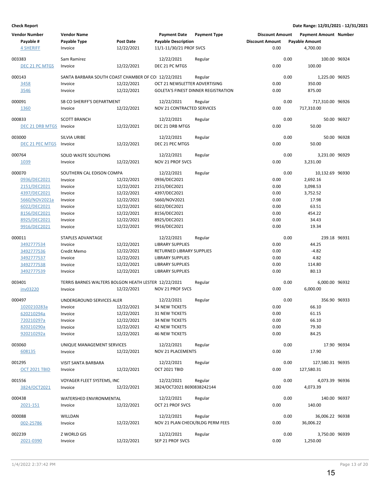| <b>Vendor Number</b><br>Payable #<br><b>4 SHERIFF</b> | <b>Vendor Name</b><br>Payable Type<br>Invoice        | <b>Post Date</b><br>12/22/2021 | <b>Payment Date</b><br><b>Payable Description</b><br>11/1-11/30/21 PROF SVCS | <b>Payment Type</b>                        | <b>Discount Amount</b><br><b>Discount Amount</b><br>0.00 |      | <b>Payment Amount Number</b><br><b>Payable Amount</b><br>4,700.00 |             |
|-------------------------------------------------------|------------------------------------------------------|--------------------------------|------------------------------------------------------------------------------|--------------------------------------------|----------------------------------------------------------|------|-------------------------------------------------------------------|-------------|
|                                                       |                                                      |                                |                                                                              |                                            |                                                          |      |                                                                   |             |
| 003383<br>DEC 21 PC MTGS                              | Sam Ramirez<br>Invoice                               | 12/22/2021                     | 12/22/2021<br>DEC 21 PC MTGS                                                 | Regular                                    | 0.00                                                     | 0.00 | 100.00 96924<br>100.00                                            |             |
|                                                       |                                                      |                                |                                                                              |                                            |                                                          |      |                                                                   |             |
| 000143                                                | SANTA BARBARA SOUTH COAST CHAMBER OF CO 12/22/2021   |                                |                                                                              | Regular                                    |                                                          | 0.00 | 1,225.00 96925                                                    |             |
| 3458                                                  | Invoice                                              | 12/22/2021                     | OCT 21 NEWSLETTER ADVERTISING                                                |                                            | 0.00                                                     |      | 350.00                                                            |             |
| 3546                                                  | Invoice                                              | 12/22/2021                     |                                                                              | <b>GOLETA'S FINEST DINNER REGISTRATION</b> | 0.00                                                     |      | 875.00                                                            |             |
| 000091                                                | SB CO SHERIFF'S DEPARTMENT                           |                                | 12/22/2021                                                                   | Regular                                    |                                                          | 0.00 | 717,310.00 96926                                                  |             |
| 1360                                                  | Invoice                                              | 12/22/2021                     | NOV 21 CONTRACTED SERVICES                                                   |                                            | 0.00                                                     |      | 717,310.00                                                        |             |
|                                                       |                                                      |                                |                                                                              |                                            |                                                          |      |                                                                   |             |
| 000833                                                | <b>SCOTT BRANCH</b>                                  |                                | 12/22/2021<br>DEC 21 DRB MTGS                                                | Regular                                    | 0.00                                                     | 0.00 |                                                                   | 50.00 96927 |
| DEC 21 DRB MTGS                                       | Invoice                                              | 12/22/2021                     |                                                                              |                                            |                                                          |      | 50.00                                                             |             |
| 003000                                                | <b>SILVIA URIBE</b>                                  |                                | 12/22/2021                                                                   | Regular                                    |                                                          | 0.00 |                                                                   | 50.00 96928 |
| DEC 21 PEC MTGS                                       | Invoice                                              | 12/22/2021                     | DEC 21 PEC MTGS                                                              |                                            | 0.00                                                     |      | 50.00                                                             |             |
| 000764                                                | SOLID WASTE SOLUTIONS                                |                                | 12/22/2021                                                                   | Regular                                    |                                                          | 0.00 | 3,231.00 96929                                                    |             |
| 1039                                                  | Invoice                                              | 12/22/2021                     | NOV 21 PROF SVCS                                                             |                                            | 0.00                                                     |      | 3,231.00                                                          |             |
|                                                       |                                                      |                                |                                                                              |                                            |                                                          |      |                                                                   |             |
| 000070                                                | SOUTHERN CAL EDISON COMPA                            |                                | 12/22/2021                                                                   | Regular                                    |                                                          | 0.00 | 10,132.69 96930                                                   |             |
| 0936/DEC2021                                          | Invoice                                              | 12/22/2021                     | 0936/DEC2021                                                                 |                                            | 0.00                                                     |      | 2,692.16                                                          |             |
| 2151/DEC2021                                          | Invoice                                              | 12/22/2021                     | 2151/DEC2021                                                                 |                                            | 0.00                                                     |      | 3,098.53                                                          |             |
| 4397/DEC2021                                          | Invoice                                              | 12/22/2021                     | 4397/DEC2021                                                                 |                                            | 0.00                                                     |      | 3,752.52                                                          |             |
| 5660/NOV2021a                                         | Invoice                                              | 12/22/2021                     | 5660/NOV2021                                                                 |                                            | 0.00                                                     |      | 17.98                                                             |             |
| 6022/DEC2021                                          | Invoice                                              | 12/22/2021                     | 6022/DEC2021                                                                 |                                            | 0.00                                                     |      | 63.51                                                             |             |
| 8156/DEC2021                                          | Invoice                                              | 12/22/2021                     | 8156/DEC2021                                                                 |                                            | 0.00<br>0.00                                             |      | 454.22<br>34.43                                                   |             |
| 8925/DEC2021<br>9916/DEC2021                          | Invoice<br>Invoice                                   | 12/22/2021<br>12/22/2021       | 8925/DEC2021<br>9916/DEC2021                                                 |                                            | 0.00                                                     |      | 19.34                                                             |             |
|                                                       |                                                      |                                |                                                                              |                                            |                                                          |      |                                                                   |             |
| 000011                                                | STAPLES ADVANTAGE                                    |                                | 12/22/2021                                                                   | Regular                                    |                                                          | 0.00 | 239.18 96931                                                      |             |
| 3492777534                                            | Invoice                                              | 12/22/2021                     | <b>LIBRARY SUPPLIES</b>                                                      |                                            | 0.00                                                     |      | 44.25                                                             |             |
| 3492777536                                            | Credit Memo                                          | 12/22/2021                     | RETURNED LIBRARY SUPPLIES                                                    |                                            | 0.00                                                     |      | $-4.82$                                                           |             |
| 3492777537                                            | Invoice                                              | 12/22/2021                     | <b>LIBRARY SUPPLIES</b>                                                      |                                            | 0.00                                                     |      | 4.82                                                              |             |
| 3492777538                                            | Invoice                                              | 12/22/2021                     | <b>LIBRARY SUPPLIES</b>                                                      |                                            | 0.00                                                     |      | 114.80                                                            |             |
| 3492777539                                            | Invoice                                              | 12/22/2021                     | <b>LIBRARY SUPPLIES</b>                                                      |                                            | 0.00                                                     |      | 80.13                                                             |             |
| 003401                                                | TERRIS BARNES WALTERS BOLGON HEATH LESTER 12/22/2021 |                                |                                                                              | Regular                                    |                                                          | 0.00 | 6,000.00 96932                                                    |             |
| inv03220                                              | Invoice                                              | 12/22/2021                     | <b>NOV 21 PROF SVCS</b>                                                      |                                            | 0.00                                                     |      | 6,000.00                                                          |             |
|                                                       |                                                      |                                |                                                                              |                                            |                                                          |      |                                                                   |             |
| 000497<br>1020210283a                                 | UNDERGROUND SERVICES ALER                            | 12/22/2021                     | 12/22/2021<br><b>34 NEW TICKETS</b>                                          | Regular                                    | 0.00                                                     | 0.00 | 356.90 96933<br>66.10                                             |             |
| 620210294a                                            | Invoice<br>Invoice                                   | 12/22/2021                     | <b>31 NEW TICKETS</b>                                                        |                                            | 0.00                                                     |      | 61.15                                                             |             |
| 720210297a                                            | Invoice                                              | 12/22/2021                     | <b>34 NEW TICKETS</b>                                                        |                                            | 0.00                                                     |      | 66.10                                                             |             |
| 820210290a                                            | Invoice                                              | 12/22/2021                     | <b>42 NEW TICKETS</b>                                                        |                                            | 0.00                                                     |      | 79.30                                                             |             |
| 920210292a                                            | Invoice                                              | 12/22/2021                     | <b>46 NEW TICKETS</b>                                                        |                                            | 0.00                                                     |      | 84.25                                                             |             |
|                                                       |                                                      |                                |                                                                              |                                            |                                                          |      |                                                                   |             |
| 003060                                                | UNIQUE MANAGEMENT SERVICES                           |                                | 12/22/2021                                                                   | Regular                                    |                                                          | 0.00 |                                                                   | 17.90 96934 |
| 608135                                                | Invoice                                              | 12/22/2021                     | NOV 21 PLACEMENTS                                                            |                                            | 0.00                                                     |      | 17.90                                                             |             |
| 001295                                                | VISIT SANTA BARBARA                                  |                                | 12/22/2021                                                                   | Regular                                    |                                                          | 0.00 | 127,580.31 96935                                                  |             |
| OCT 2021 TBID                                         | Invoice                                              | 12/22/2021                     | OCT 2021 TBID                                                                |                                            | 0.00                                                     |      | 127,580.31                                                        |             |
|                                                       |                                                      |                                |                                                                              |                                            |                                                          |      |                                                                   |             |
| 001556                                                | VOYAGER FLEET SYSTEMS, INC<br>Invoice                |                                | 12/22/2021<br>3824/OCT2021 8690838242144                                     | Regular                                    | 0.00                                                     | 0.00 | 4,073.39 96936<br>4,073.39                                        |             |
| 3824/OCT2021                                          |                                                      | 12/22/2021                     |                                                                              |                                            |                                                          |      |                                                                   |             |
| 000438                                                | WATERSHED ENVIRONMENTAL                              |                                | 12/22/2021                                                                   | Regular                                    |                                                          | 0.00 | 140.00 96937                                                      |             |
| 2021-151                                              | Invoice                                              | 12/22/2021                     | OCT 21 PROF SVCS                                                             |                                            | 0.00                                                     |      | 140.00                                                            |             |
| 000088                                                | WILLDAN                                              |                                | 12/22/2021                                                                   | Regular                                    |                                                          | 0.00 | 36,006.22 96938                                                   |             |
| 002-25786                                             | Invoice                                              | 12/22/2021                     | NOV 21 PLAN CHECK/BLDG PERM FEES                                             |                                            | 0.00                                                     |      | 36,006.22                                                         |             |
|                                                       |                                                      |                                |                                                                              |                                            |                                                          |      |                                                                   |             |
| 002239                                                | Z WORLD GIS                                          |                                | 12/22/2021                                                                   | Regular                                    |                                                          | 0.00 | 3,750.00 96939                                                    |             |
| 2021-0390                                             | Invoice                                              | 12/22/2021                     | SEP 21 PROF SVCS                                                             |                                            | 0.00                                                     |      | 1,250.00                                                          |             |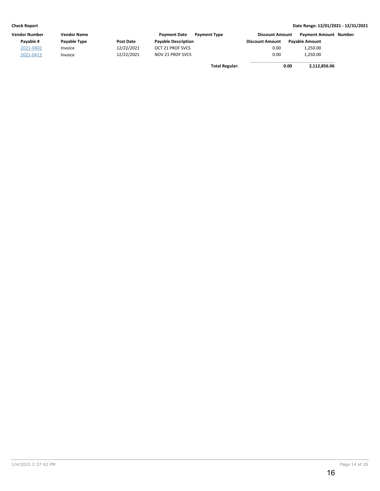| Vendor Number | <b>Vendor Name</b> |            | <b>Payment Date</b>        | <b>Payment Type</b>   | <b>Discount Amount</b> | <b>Payment Amount Number</b> |  |
|---------------|--------------------|------------|----------------------------|-----------------------|------------------------|------------------------------|--|
| Pavable #     | Payable Type       | Post Date  | <b>Payable Description</b> |                       | <b>Discount Amount</b> | <b>Pavable Amount</b>        |  |
| 2021-0402     | Invoice            | 12/22/2021 | OCT 21 PROF SVCS           |                       | 0.00                   | 1.250.00                     |  |
| 2021-0413     | Invoice            | 12/22/2021 | NOV 21 PROF SVCS           |                       | 0.00                   | 1,250.00                     |  |
|               |                    |            |                            | <b>Total Regular:</b> |                        | 0.00<br>2,112,856.06         |  |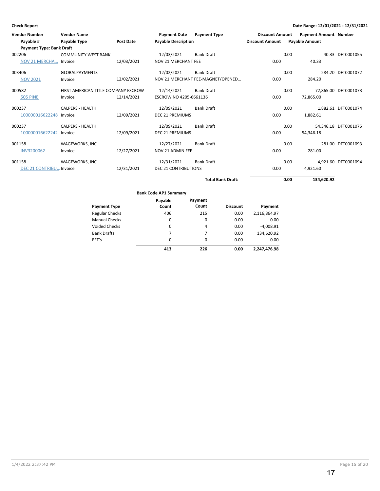| <b>Vendor Number</b>            | <b>Vendor Name</b>                  |                  | <b>Payment Date</b>         | <b>Payment Type</b>               | <b>Discount Amount</b> |      | <b>Payment Amount Number</b> |                      |
|---------------------------------|-------------------------------------|------------------|-----------------------------|-----------------------------------|------------------------|------|------------------------------|----------------------|
| Payable #                       | Payable Type                        | <b>Post Date</b> | <b>Payable Description</b>  |                                   | <b>Discount Amount</b> |      | <b>Payable Amount</b>        |                      |
| <b>Payment Type: Bank Draft</b> |                                     |                  |                             |                                   |                        |      |                              |                      |
| 002206                          | <b>COMMUNITY WEST BANK</b>          |                  | 12/03/2021                  | <b>Bank Draft</b>                 |                        | 0.00 |                              | 40.33 DFT0001055     |
| NOV 21 MERCHA Invoice           |                                     | 12/03/2021       | <b>NOV 21 MERCHANT FEE</b>  |                                   | 0.00                   |      | 40.33                        |                      |
| 003406                          | <b>GLOBALPAYMENTS</b>               |                  | 12/02/2021                  | <b>Bank Draft</b>                 |                        | 0.00 |                              | 284.20 DFT0001072    |
| <b>NOV 2021</b>                 | Invoice                             | 12/02/2021       |                             | NOV 21 MERCHANT FEE-MAGNET/OPENED | 0.00                   |      | 284.20                       |                      |
| 000582                          | FIRST AMERICAN TITLE COMPANY ESCROW |                  | 12/14/2021                  | <b>Bank Draft</b>                 |                        | 0.00 |                              | 72,865.00 DFT0001073 |
| <b>505 PINE</b>                 | Invoice                             | 12/14/2021       | ESCROW NO 4205-6661136      |                                   | 0.00                   |      | 72,865.00                    |                      |
| 000237                          | <b>CALPERS - HEALTH</b>             |                  | 12/09/2021                  | <b>Bank Draft</b>                 |                        | 0.00 |                              | 1,882.61 DFT0001074  |
| 100000016622248 Invoice         |                                     | 12/09/2021       | <b>DEC 21 PREMIUMS</b>      |                                   | 0.00                   |      | 1,882.61                     |                      |
| 000237                          | <b>CALPERS - HEALTH</b>             |                  | 12/09/2021                  | <b>Bank Draft</b>                 |                        | 0.00 |                              | 54,346.18 DFT0001075 |
| 100000016622242                 | Invoice                             | 12/09/2021       | <b>DEC 21 PREMIUMS</b>      |                                   | 0.00                   |      | 54,346.18                    |                      |
| 001158                          | WAGEWORKS, INC                      |                  | 12/27/2021                  | <b>Bank Draft</b>                 |                        | 0.00 |                              | 281.00 DFT0001093    |
| <b>INV3200062</b>               | Invoice                             | 12/27/2021       | NOV 21 ADMIN FEE            |                                   | 0.00                   |      | 281.00                       |                      |
| 001158                          | WAGEWORKS, INC                      |                  | 12/31/2021                  | <b>Bank Draft</b>                 |                        | 0.00 |                              | 4,921.60 DFT0001094  |
| DEC 21 CONTRIBU Invoice         |                                     | 12/31/2021       | <b>DEC 21 CONTRIBUTIONS</b> |                                   | 0.00                   |      | 4,921.60                     |                      |
|                                 |                                     |                  |                             | <b>Total Bank Draft:</b>          |                        | 0.00 | 134.620.92                   |                      |

Regular Checks Manual Checks Voided Checks **Discount Payment Payment Type Bank Code AP1 Summary** Bank Drafts EFT's 215 0 4 7 0 0.00 0.00 0.00 0.00 0.00 **226 0.00 Payment** 2,116,864.97 0.00 -4,008.91 134,620.92 0.00 **2,247,476.98 Payable Count** 406 0 0 7 0 **413**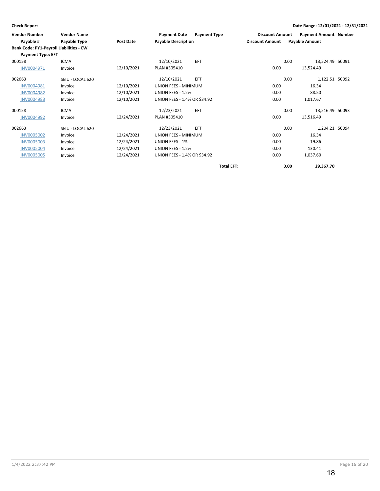| <b>Vendor Number</b>                           | <b>Vendor Name</b> |                  | <b>Payment Date</b>          | <b>Payment Type</b> | <b>Discount Amount</b> | <b>Payment Amount Number</b> |  |
|------------------------------------------------|--------------------|------------------|------------------------------|---------------------|------------------------|------------------------------|--|
| Payable #                                      | Payable Type       | <b>Post Date</b> | <b>Payable Description</b>   |                     | <b>Discount Amount</b> | <b>Payable Amount</b>        |  |
| <b>Bank Code: PY1-Payroll Liabilities - CW</b> |                    |                  |                              |                     |                        |                              |  |
| <b>Payment Type: EFT</b>                       |                    |                  |                              |                     |                        |                              |  |
| 000158                                         | <b>ICMA</b>        |                  | 12/10/2021                   | EFT                 |                        | 13,524.49 50091<br>0.00      |  |
| INV0004971                                     | Invoice            | 12/10/2021       | PLAN #305410                 |                     | 0.00                   | 13,524.49                    |  |
| 002663                                         | SEIU - LOCAL 620   |                  | 12/10/2021                   | <b>EFT</b>          |                        | 1,122.51 50092<br>0.00       |  |
| INV0004981                                     | Invoice            | 12/10/2021       | UNION FEES - MINIMUM         |                     | 0.00                   | 16.34                        |  |
| <b>INV0004982</b>                              | Invoice            | 12/10/2021       | UNION FEES - 1.2%            |                     | 0.00                   | 88.50                        |  |
| <b>INV0004983</b>                              | Invoice            | 12/10/2021       | UNION FEES - 1.4% OR \$34.92 |                     | 0.00                   | 1,017.67                     |  |
| 000158                                         | <b>ICMA</b>        |                  | 12/23/2021                   | EFT                 |                        | 13,516.49 50093<br>0.00      |  |
| <b>INV0004992</b>                              | Invoice            | 12/24/2021       | PLAN #305410                 |                     | 0.00                   | 13,516.49                    |  |
| 002663                                         | SEIU - LOCAL 620   |                  | 12/23/2021                   | <b>EFT</b>          |                        | 1,204.21 50094<br>0.00       |  |
| <b>INV0005002</b>                              | Invoice            | 12/24/2021       | UNION FEES - MINIMUM         |                     | 0.00                   | 16.34                        |  |
| <b>INV0005003</b>                              | Invoice            | 12/24/2021       | UNION FEES - 1%              |                     | 0.00                   | 19.86                        |  |
| <b>INV0005004</b>                              | Invoice            | 12/24/2021       | UNION FEES - 1.2%            |                     | 0.00                   | 130.41                       |  |
| <b>INV0005005</b>                              | Invoice            | 12/24/2021       | UNION FEES - 1.4% OR \$34.92 |                     | 0.00                   | 1,037.60                     |  |

**Total EFT: 0.00 29,367.70**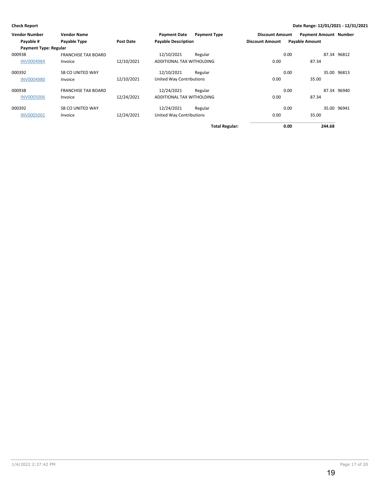| <b>Vendor Number</b>         | <b>Vendor Name</b>         |            | <b>Payment Date</b>        | <b>Payment Type</b>   | <b>Discount Amount</b> | <b>Payment Amount Number</b> |             |
|------------------------------|----------------------------|------------|----------------------------|-----------------------|------------------------|------------------------------|-------------|
| Payable #                    | Payable Type               | Post Date  | <b>Payable Description</b> |                       | <b>Discount Amount</b> | <b>Payable Amount</b>        |             |
| <b>Payment Type: Regular</b> |                            |            |                            |                       |                        |                              |             |
| 000938                       | <b>FRANCHISE TAX BOARD</b> |            | 12/10/2021                 | Regular               |                        | 0.00                         | 87.34 96812 |
| <b>INV0004984</b>            | Invoice                    | 12/10/2021 | ADDITIONAL TAX WITHOLDING  |                       | 0.00                   | 87.34                        |             |
| 000392                       | SB CO UNITED WAY           |            | 12/10/2021                 | Regular               |                        | 0.00                         | 35.00 96813 |
| <b>INV0004980</b>            | Invoice                    | 12/10/2021 | United Way Contributions   |                       | 0.00                   | 35.00                        |             |
| 000938                       | <b>FRANCHISE TAX BOARD</b> |            | 12/24/2021                 | Regular               |                        | 0.00                         | 87.34 96940 |
| <b>INV0005006</b>            | Invoice                    | 12/24/2021 | ADDITIONAL TAX WITHOLDING  |                       | 0.00                   | 87.34                        |             |
| 000392                       | SB CO UNITED WAY           |            | 12/24/2021                 | Regular               |                        | 0.00                         | 35.00 96941 |
| <b>INV0005001</b>            | Invoice                    | 12/24/2021 | United Way Contributions   |                       | 0.00                   | 35.00                        |             |
|                              |                            |            |                            | <b>Total Regular:</b> |                        | 244.68<br>0.00               |             |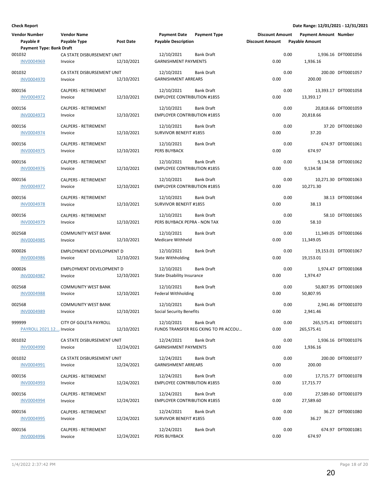| <b>Vendor Number</b><br>Payable #                              | <b>Vendor Name</b><br>Payable Type         | <b>Post Date</b> | <b>Payment Date</b><br><b>Payable Description</b> | <b>Payment Type</b>                                       | <b>Discount Amount</b><br><b>Discount Amount</b> |      | <b>Payment Amount Number</b><br><b>Payable Amount</b> |                       |
|----------------------------------------------------------------|--------------------------------------------|------------------|---------------------------------------------------|-----------------------------------------------------------|--------------------------------------------------|------|-------------------------------------------------------|-----------------------|
| <b>Payment Type: Bank Draft</b><br>001032<br><b>INV0004969</b> | CA STATE DISBURSEMENT UNIT<br>Invoice      | 12/10/2021       | 12/10/2021<br><b>GARNISHMENT PAYMENTS</b>         | <b>Bank Draft</b>                                         | 0.00                                             | 0.00 | 1,936.16                                              | 1,936.16 DFT0001056   |
| 001032<br><b>INV0004970</b>                                    | CA STATE DISBURSEMENT UNIT<br>Invoice      | 12/10/2021       | 12/10/2021<br><b>GARNISHMENT ARREARS</b>          | <b>Bank Draft</b>                                         | 0.00                                             | 0.00 | 200.00                                                | 200.00 DFT0001057     |
| 000156<br>INV0004972                                           | <b>CALPERS - RETIREMENT</b><br>Invoice     | 12/10/2021       | 12/10/2021<br><b>EMPLOYEE CONTRIBUTION #1855</b>  | Bank Draft                                                | 0.00                                             | 0.00 | 13,393.17                                             | 13,393.17 DFT0001058  |
| 000156<br>INV0004973                                           | <b>CALPERS - RETIREMENT</b><br>Invoice     | 12/10/2021       | 12/10/2021<br><b>EMPLOYER CONTRIBUTION #1855</b>  | <b>Bank Draft</b>                                         | 0.00                                             | 0.00 | 20,818.66                                             | 20,818.66 DFT0001059  |
| 000156<br><b>INV0004974</b>                                    | CALPERS - RETIREMENT<br>Invoice            | 12/10/2021       | 12/10/2021<br>SURVIVOR BENEFIT #1855              | <b>Bank Draft</b>                                         | 0.00                                             | 0.00 | 37.20                                                 | 37.20 DFT0001060      |
| 000156<br><b>INV0004975</b>                                    | <b>CALPERS - RETIREMENT</b><br>Invoice     | 12/10/2021       | 12/10/2021<br>PERS BUYBACK                        | <b>Bank Draft</b>                                         | 0.00                                             | 0.00 | 674.97                                                | 674.97 DFT0001061     |
| 000156<br><b>INV0004976</b>                                    | <b>CALPERS - RETIREMENT</b><br>Invoice     | 12/10/2021       | 12/10/2021<br><b>EMPLOYEE CONTRIBUTION #1855</b>  | <b>Bank Draft</b>                                         | 0.00                                             | 0.00 | 9,134.58                                              | 9,134.58 DFT0001062   |
| 000156<br>INV0004977                                           | <b>CALPERS - RETIREMENT</b><br>Invoice     | 12/10/2021       | 12/10/2021<br><b>EMPLOYER CONTRIBUTION #1855</b>  | Bank Draft                                                | 0.00                                             | 0.00 | 10,271.30                                             | 10,271.30 DFT0001063  |
| 000156<br>INV0004978                                           | CALPERS - RETIREMENT<br>Invoice            | 12/10/2021       | 12/10/2021<br>SURVIVOR BENEFIT #1855              | Bank Draft                                                | 0.00                                             | 0.00 | 38.13                                                 | 38.13 DFT0001064      |
| 000156<br><b>INV0004979</b>                                    | <b>CALPERS - RETIREMENT</b><br>Invoice     | 12/10/2021       | 12/10/2021<br>PERS BUYBACK PEPRA - NON TAX        | Bank Draft                                                | 0.00                                             | 0.00 | 58.10                                                 | 58.10 DFT0001065      |
| 002568<br><b>INV0004985</b>                                    | <b>COMMUNITY WEST BANK</b><br>Invoice      | 12/10/2021       | 12/10/2021<br>Medicare Withheld                   | Bank Draft                                                | 0.00                                             | 0.00 | 11,349.05                                             | 11,349.05 DFT0001066  |
| 000026<br><b>INV0004986</b>                                    | EMPLOYMENT DEVELOPMENT D<br>Invoice        | 12/10/2021       | 12/10/2021<br><b>State Withholding</b>            | <b>Bank Draft</b>                                         | 0.00                                             | 0.00 | 19,153.01                                             | 19,153.01 DFT0001067  |
| 000026<br><b>INV0004987</b>                                    | <b>EMPLOYMENT DEVELOPMENT D</b><br>Invoice | 12/10/2021       | 12/10/2021<br><b>State Disability Insurance</b>   | <b>Bank Draft</b>                                         | 0.00                                             | 0.00 | 1,974.47                                              | 1,974.47 DFT0001068   |
| 002568<br>INV0004988                                           | <b>COMMUNITY WEST BANK</b><br>Invoice      | 12/10/2021       | 12/10/2021<br><b>Federal Withholding</b>          | <b>Bank Draft</b>                                         | 0.00                                             | 0.00 | 50,807.95                                             | 50,807.95 DFT0001069  |
| 002568<br><b>INV0004989</b>                                    | <b>COMMUNITY WEST BANK</b><br>Invoice      | 12/10/2021       | 12/10/2021<br>Social Security Benefits            | Bank Draft                                                | 0.00                                             | 0.00 | 2,941.46                                              | 2,941.46 DFT0001070   |
| 999999<br>PAYROLL 2021.12 Invoice                              | CITY OF GOLETA PAYROLL                     | 12/10/2021       | 12/10/2021                                        | <b>Bank Draft</b><br>FUNDS TRANSFER REG CKING TO PR ACCOU | 0.00                                             | 0.00 | 265,575.41                                            | 265,575.41 DFT0001071 |
| 001032<br><b>INV0004990</b>                                    | CA STATE DISBURSEMENT UNIT<br>Invoice      | 12/24/2021       | 12/24/2021<br><b>GARNISHMENT PAYMENTS</b>         | Bank Draft                                                | 0.00                                             | 0.00 | 1,936.16                                              | 1,936.16 DFT0001076   |
| 001032<br>INV0004991                                           | CA STATE DISBURSEMENT UNIT<br>Invoice      | 12/24/2021       | 12/24/2021<br><b>GARNISHMENT ARREARS</b>          | Bank Draft                                                | 0.00                                             | 0.00 | 200.00                                                | 200.00 DFT0001077     |
| 000156<br><b>INV0004993</b>                                    | CALPERS - RETIREMENT<br>Invoice            | 12/24/2021       | 12/24/2021<br><b>EMPLOYEE CONTRIBUTION #1855</b>  | Bank Draft                                                | 0.00                                             | 0.00 | 17,715.77                                             | 17,715.77 DFT0001078  |
| 000156<br><b>INV0004994</b>                                    | <b>CALPERS - RETIREMENT</b><br>Invoice     | 12/24/2021       | 12/24/2021<br><b>EMPLOYER CONTRIBUTION #1855</b>  | Bank Draft                                                | 0.00                                             | 0.00 | 27,589.60                                             | 27,589.60 DFT0001079  |
| 000156<br><b>INV0004995</b>                                    | CALPERS - RETIREMENT<br>Invoice            | 12/24/2021       | 12/24/2021<br>SURVIVOR BENEFIT #1855              | Bank Draft                                                | 0.00                                             | 0.00 | 36.27                                                 | 36.27 DFT0001080      |
| 000156<br><b>INV0004996</b>                                    | <b>CALPERS - RETIREMENT</b><br>Invoice     | 12/24/2021       | 12/24/2021<br>PERS BUYBACK                        | <b>Bank Draft</b>                                         | 0.00                                             | 0.00 | 674.97                                                | 674.97 DFT0001081     |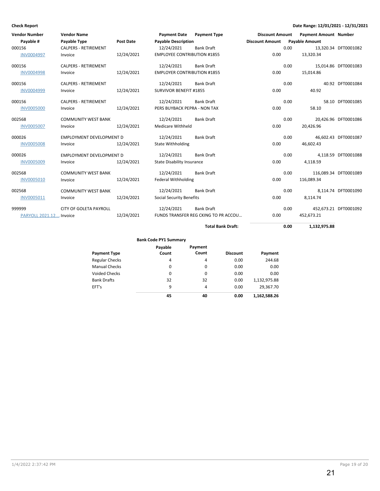| <b>Vendor Number</b>    | <b>Vendor Name</b>              |                  | <b>Payment Date</b>                | <b>Payment Type</b>                  | <b>Discount Amount</b> |      | <b>Payment Amount Number</b> |                       |
|-------------------------|---------------------------------|------------------|------------------------------------|--------------------------------------|------------------------|------|------------------------------|-----------------------|
| Payable #               | Payable Type                    | <b>Post Date</b> | <b>Payable Description</b>         |                                      | <b>Discount Amount</b> |      | <b>Payable Amount</b>        |                       |
| 000156                  | <b>CALPERS - RETIREMENT</b>     |                  | 12/24/2021                         | <b>Bank Draft</b>                    |                        | 0.00 |                              | 13,320.34 DFT0001082  |
| <b>INV0004997</b>       | Invoice                         | 12/24/2021       | <b>EMPLOYEE CONTRIBUTION #1855</b> |                                      | 0.00                   |      | 13,320.34                    |                       |
| 000156                  | <b>CALPERS - RETIREMENT</b>     |                  | 12/24/2021                         | <b>Bank Draft</b>                    |                        | 0.00 |                              | 15,014.86 DFT0001083  |
| <b>INV0004998</b>       | Invoice                         | 12/24/2021       | <b>EMPLOYER CONTRIBUTION #1855</b> |                                      | 0.00                   |      | 15,014.86                    |                       |
| 000156                  | <b>CALPERS - RETIREMENT</b>     |                  | 12/24/2021                         | <b>Bank Draft</b>                    |                        | 0.00 |                              | 40.92 DFT0001084      |
| <b>INV0004999</b>       | Invoice                         | 12/24/2021       | SURVIVOR BENEFIT #1855             |                                      | 0.00                   |      | 40.92                        |                       |
| 000156                  | <b>CALPERS - RETIREMENT</b>     |                  | 12/24/2021                         | <b>Bank Draft</b>                    |                        | 0.00 |                              | 58.10 DFT0001085      |
| <b>INV0005000</b>       | Invoice                         | 12/24/2021       | PERS BUYBACK PEPRA - NON TAX       |                                      | 0.00                   |      | 58.10                        |                       |
| 002568                  | <b>COMMUNITY WEST BANK</b>      |                  | 12/24/2021                         | <b>Bank Draft</b>                    |                        | 0.00 |                              | 20,426.96 DFT0001086  |
| <b>INV0005007</b>       | Invoice                         | 12/24/2021       | <b>Medicare Withheld</b>           |                                      | 0.00                   |      | 20,426.96                    |                       |
| 000026                  | <b>EMPLOYMENT DEVELOPMENT D</b> |                  | 12/24/2021                         | <b>Bank Draft</b>                    |                        | 0.00 |                              | 46,602.43 DFT0001087  |
| <b>INV0005008</b>       | Invoice                         | 12/24/2021       | <b>State Withholding</b>           |                                      | 0.00                   |      | 46,602.43                    |                       |
| 000026                  | EMPLOYMENT DEVELOPMENT D        |                  | 12/24/2021                         | <b>Bank Draft</b>                    |                        | 0.00 |                              | 4,118.59 DFT0001088   |
| <b>INV0005009</b>       | Invoice                         | 12/24/2021       | <b>State Disability Insurance</b>  |                                      | 0.00                   |      | 4,118.59                     |                       |
| 002568                  | <b>COMMUNITY WEST BANK</b>      |                  | 12/24/2021                         | <b>Bank Draft</b>                    |                        | 0.00 |                              | 116,089.34 DFT0001089 |
| <b>INV0005010</b>       | Invoice                         | 12/24/2021       | <b>Federal Withholding</b>         |                                      | 0.00                   |      | 116,089.34                   |                       |
| 002568                  | <b>COMMUNITY WEST BANK</b>      |                  | 12/24/2021                         | <b>Bank Draft</b>                    |                        | 0.00 |                              | 8.114.74 DFT0001090   |
| <b>INV0005011</b>       | Invoice                         | 12/24/2021       | <b>Social Security Benefits</b>    |                                      | 0.00                   |      | 8,114.74                     |                       |
| 999999                  | <b>CITY OF GOLETA PAYROLL</b>   |                  | 12/24/2021                         | <b>Bank Draft</b>                    |                        | 0.00 |                              | 452,673.21 DFT0001092 |
| PARYOLL 2021.12 Invoice |                                 | 12/24/2021       |                                    | FUNDS TRANSFER REG CKING TO PR ACCOU | 0.00                   |      | 452,673.21                   |                       |
|                         |                                 |                  |                                    | <b>Total Bank Draft:</b>             |                        | 0.00 | 1,132,975.88                 |                       |

**Bank Code PY1 Summary**

| <b>Payment Type</b>   | Payable<br>Count | Payment<br>Count | <b>Discount</b> | Payment      |
|-----------------------|------------------|------------------|-----------------|--------------|
| <b>Regular Checks</b> | 4                | 4                | 0.00            | 244.68       |
| <b>Manual Checks</b>  | 0                | 0                | 0.00            | 0.00         |
| <b>Voided Checks</b>  | 0                | 0                | 0.00            | 0.00         |
| <b>Bank Drafts</b>    | 32               | 32               | 0.00            | 1,132,975.88 |
| EFT's                 | 9                | 4                | 0.00            | 29,367.70    |
|                       | 45               | 40               | 0.00            | 1,162,588.26 |